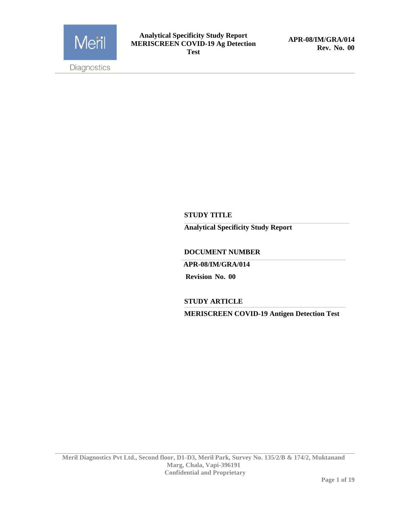

**APR-08/IM/GRA/014 Rev. No. 00**

### **STUDY TITLE**

**Analytical Specificity Study Report** 

**DOCUMENT NUMBER** 

 **APR-08/IM/GRA/014**

 **Revision No. 00**

**STUDY ARTICLE**

**MERISCREEN COVID-19 Antigen Detection Test**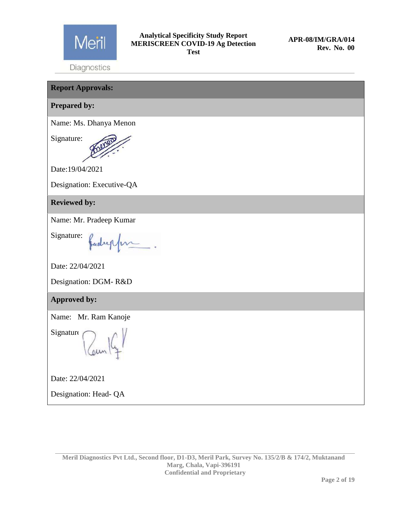

**Report Approvals: Prepared by:** Name: Ms. Dhanya Menon Signature: Date:19/04/2021 Designation: Executive-QA **Reviewed by:** Name: Mr. Pradeep Kumar Signature: Jadreppen Date: 22/04/2021 Designation: DGM- R&D **Approved by:** Name: Mr. Ram Kanoje Signature Date: 22/04/2021 Designation: Head- QA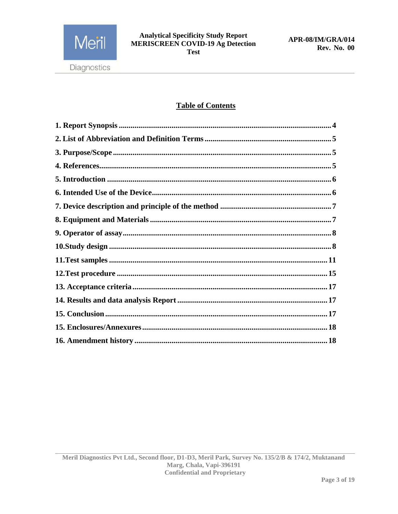

### **Table of Contents**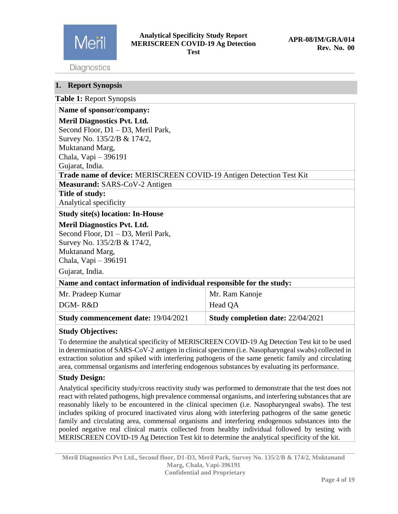

### **Analytical Specificity Study Report MERISCREEN COVID-19 Ag Detection Test**

Diagnostics

### <span id="page-3-0"></span>**1. Report Synopsis**

**Table 1:** Report Synopsis

| Name of sponsor/company:                                              |                                   |  |  |  |
|-----------------------------------------------------------------------|-----------------------------------|--|--|--|
| <b>Meril Diagnostics Pvt. Ltd.</b>                                    |                                   |  |  |  |
| Second Floor, D1 - D3, Meril Park,                                    |                                   |  |  |  |
| Survey No. 135/2/B & 174/2,                                           |                                   |  |  |  |
| Muktanand Marg,                                                       |                                   |  |  |  |
| Chala, Vapi - 396191                                                  |                                   |  |  |  |
| Gujarat, India.                                                       |                                   |  |  |  |
| Trade name of device: MERISCREEN COVID-19 Antigen Detection Test Kit  |                                   |  |  |  |
| Measurand: SARS-CoV-2 Antigen                                         |                                   |  |  |  |
| Title of study:                                                       |                                   |  |  |  |
| Analytical specificity                                                |                                   |  |  |  |
| <b>Study site(s) location: In-House</b>                               |                                   |  |  |  |
| <b>Meril Diagnostics Pvt. Ltd.</b>                                    |                                   |  |  |  |
| Second Floor, D1 - D3, Meril Park,                                    |                                   |  |  |  |
| Survey No. 135/2/B & 174/2,                                           |                                   |  |  |  |
| Muktanand Marg,                                                       |                                   |  |  |  |
| Chala, Vapi - 396191                                                  |                                   |  |  |  |
| Gujarat, India.                                                       |                                   |  |  |  |
| Name and contact information of individual responsible for the study: |                                   |  |  |  |
| Mr. Pradeep Kumar                                                     | Mr. Ram Kanoje                    |  |  |  |
| DGM-R&D                                                               | Head QA                           |  |  |  |
| <b>Study commencement date: 19/04/2021</b>                            | Study completion date: 22/04/2021 |  |  |  |

### **Study Objectives:**

To determine the analytical specificity of MERISCREEN COVID-19 Ag Detection Test kit to be used in determination of SARS-CoV-2 antigen in clinical specimen (i.e. Nasopharyngeal swabs) collected in extraction solution and spiked with interfering pathogens of the same genetic family and circulating area, commensal organisms and interfering endogenous substances by evaluating its performance.

### **Study Design:**

Analytical specificity study/cross reactivity study was performed to demonstrate that the test does not react with related pathogens, high prevalence commensal organisms, and interfering substances that are reasonably likely to be encountered in the clinical specimen (i.e. Nasopharyngeal swabs). The test includes spiking of procured inactivated virus along with interfering pathogens of the same genetic family and circulating area, commensal organisms and interfering endogenous substances into the pooled negative real clinical matrix collected from healthy individual followed by testing with MERISCREEN COVID-19 Ag Detection Test kit to determine the analytical specificity of the kit.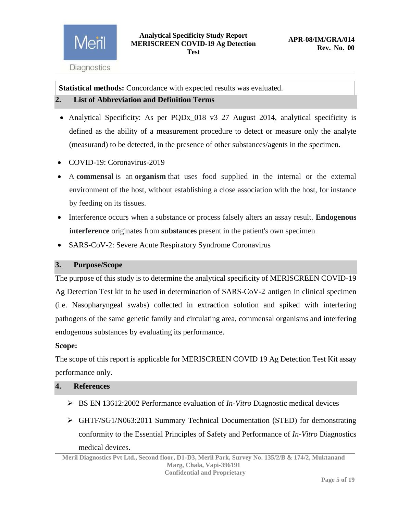**Statistical methods:** Concordance with expected results was evaluated.

### <span id="page-4-0"></span>**2. List of Abbreviation and Definition Terms**

- Analytical Specificity: As per PQDx\_018 v3 27 August 2014, analytical specificity is defined as the ability of a measurement procedure to detect or measure only the analyte (measurand) to be detected, in the presence of other substances/agents in the specimen.
- COVID-19: Coronavirus-2019
- A **commensal** is an **organism** that uses food supplied in the internal or the external environment of the host, without establishing a close association with the host, for instance by feeding on its tissues.
- Interference occurs when a substance or process falsely alters an assay result. **Endogenous interference** originates from **substances** present in the patient's own specimen.
- SARS-CoV-2: Severe Acute Respiratory Syndrome Coronavirus

### <span id="page-4-1"></span>**3. Purpose/Scope**

The purpose of this study is to determine the analytical specificity of MERISCREEN COVID-19 Ag Detection Test kit to be used in determination of SARS-CoV-2 antigen in clinical specimen (i.e. Nasopharyngeal swabs) collected in extraction solution and spiked with interfering pathogens of the same genetic family and circulating area, commensal organisms and interfering endogenous substances by evaluating its performance.

### **Scope:**

The scope of this report is applicable for MERISCREEN COVID 19 Ag Detection Test Kit assay performance only.

### <span id="page-4-2"></span>**4. References**

- BS EN 13612:2002 Performance evaluation of *In-Vitro* Diagnostic medical devices
- GHTF/SG1/N063:2011 Summary Technical Documentation (STED) for demonstrating conformity to the Essential Principles of Safety and Performance of *In-Vitro* Diagnostics medical devices.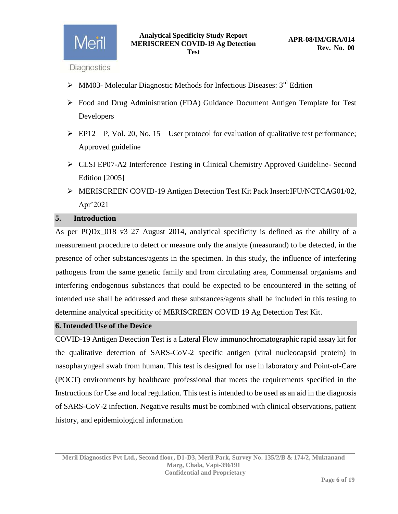Meril

- $\triangleright$  MM03- Molecular Diagnostic Methods for Infectious Diseases: 3<sup>rd</sup> Edition
- Food and Drug Administration (FDA) Guidance Document Antigen Template for Test Developers
- $\triangleright$  EP12 P, Vol. 20, No. 15 User protocol for evaluation of qualitative test performance; Approved guideline
- CLSI EP07-A2 Interference Testing in Clinical Chemistry Approved Guideline- Second Edition [2005]
- MERISCREEN COVID-19 Antigen Detection Test Kit Pack Insert:IFU/NCTCAG01/02, Apr'2021

### <span id="page-5-0"></span>**5. Introduction**

As per PQDx\_018 v3 27 August 2014, analytical specificity is defined as the ability of a measurement procedure to detect or measure only the analyte (measurand) to be detected, in the presence of other substances/agents in the specimen. In this study, the influence of interfering pathogens from the same genetic family and from circulating area, Commensal organisms and interfering endogenous substances that could be expected to be encountered in the setting of intended use shall be addressed and these substances/agents shall be included in this testing to determine analytical specificity of MERISCREEN COVID 19 Ag Detection Test Kit.

### <span id="page-5-1"></span>**6. Intended Use of the Device**

COVID-19 Antigen Detection Test is a Lateral Flow immunochromatographic rapid assay kit for the qualitative detection of SARS-CoV-2 specific antigen (viral nucleocapsid protein) in nasopharyngeal swab from human. This test is designed for use in laboratory and Point-of-Care (POCT) environments by healthcare professional that meets the requirements specified in the Instructions for Use and local regulation. This test is intended to be used as an aid in the diagnosis of SARS-CoV-2 infection. Negative results must be combined with clinical observations, patient history, and epidemiological information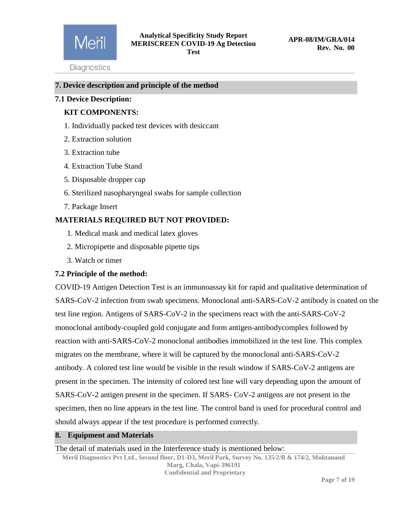

### <span id="page-6-0"></span>**7. Device description and principle of the method**

### **7.1 Device Description:**

### **KIT COMPONENTS:**

- 1. Individually packed test devices with desiccant
- 2. Extraction solution
- 3. Extraction tube
- 4. Extraction Tube Stand
- 5. Disposable dropper cap
- 6. Sterilized nasopharyngeal swabs for sample collection
- 7. Package Insert

### **MATERIALS REQUIRED BUT NOT PROVIDED:**

- 1. Medical mask and medical latex gloves
- 2. Micropipette and disposable pipette tips
- 3. Watch or timer

### **7.2 Principle of the method:**

COVID-19 Antigen Detection Test is an immunoassay kit for rapid and qualitative determination of SARS-CoV-2 infection from swab specimens. Monoclonal anti-SARS-CoV-2 antibody is coated on the test line region. Antigens of SARS-CoV-2 in the specimens react with the anti-SARS-CoV-2 monoclonal antibody-coupled gold conjugate and form antigen-antibodycomplex followed by reaction with anti-SARS-CoV-2 monoclonal antibodies immobilized in the test line. This complex migrates on the membrane, where it will be captured by the monoclonal anti-SARS-CoV-2 antibody. A colored test line would be visible in the result window if SARS-CoV-2 antigens are present in the specimen. The intensity of colored test line will vary depending upon the amount of SARS-CoV-2 antigen present in the specimen. If SARS- CoV-2 antigens are not present in the specimen, then no line appears in the test line. The control band is used for procedural control and should always appear if the test procedure is performed correctly.

### <span id="page-6-1"></span>**8. Equipment and Materials**

The detail of materials used in the Interference study is mentioned below:

**Meril Diagnostics Pvt Ltd., Second floor, D1-D3, Meril Park, Survey No. 135/2/B & 174/2, Muktanand Marg, Chala, Vapi-396191 Confidential and Proprietary**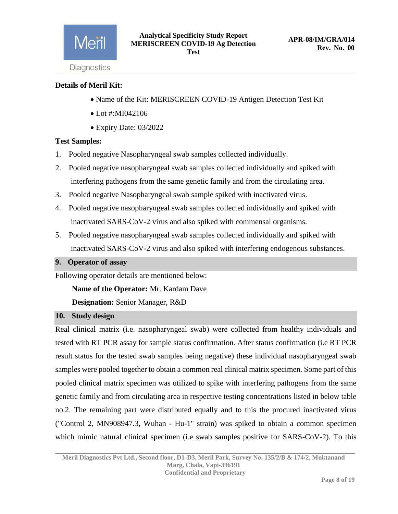

### **Details of Meril Kit:**

- Name of the Kit: MERISCREEN COVID-19 Antigen Detection Test Kit
- Lot #:MI042106
- Expiry Date: 03/2022

### **Test Samples:**

- 1. Pooled negative Nasopharyngeal swab samples collected individually.
- 2. Pooled negative nasopharyngeal swab samples collected individually and spiked with interfering pathogens from the same genetic family and from the circulating area.
- 3. Pooled negative Nasopharyngeal swab sample spiked with inactivated virus.
- 4. Pooled negative nasopharyngeal swab samples collected individually and spiked with inactivated SARS-CoV-2 virus and also spiked with commensal organisms.
- 5. Pooled negative nasopharyngeal swab samples collected individually and spiked with inactivated SARS-CoV-2 virus and also spiked with interfering endogenous substances.

### <span id="page-7-0"></span>**9. Operator of assay**

Following operator details are mentioned below:

 **Name of the Operator:** Mr. Kardam Dave

 **Designation:** Senior Manager, R&D

### <span id="page-7-1"></span>**10. Study design**

Real clinical matrix (i.e. nasopharyngeal swab) were collected from healthy individuals and tested with RT PCR assay for sample status confirmation. After status confirmation (i.e RT PCR result status for the tested swab samples being negative) these individual nasopharyngeal swab samples were pooled together to obtain a common real clinical matrix specimen. Some part of this pooled clinical matrix specimen was utilized to spike with interfering pathogens from the same genetic family and from circulating area in respective testing concentrations listed in below table no.2. The remaining part were distributed equally and to this the procured inactivated virus ("Control 2, MN908947.3, Wuhan - Hu-1" strain) was spiked to obtain a common specimen which mimic natural clinical specimen (i.e swab samples positive for SARS-CoV-2). To this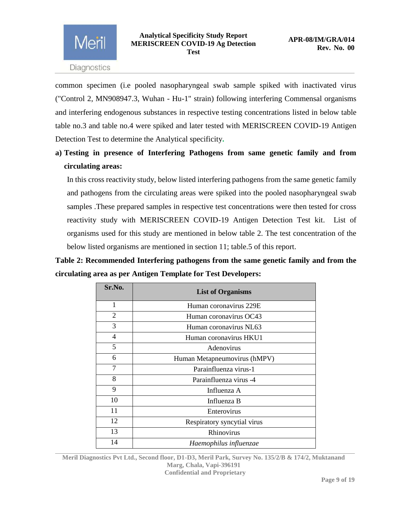

common specimen (i.e pooled nasopharyngeal swab sample spiked with inactivated virus ("Control 2, MN908947.3, Wuhan - Hu-1" strain) following interfering Commensal organisms and interfering endogenous substances in respective testing concentrations listed in below table table no.3 and table no.4 were spiked and later tested with MERISCREEN COVID-19 Antigen Detection Test to determine the Analytical specificity**.**

**a) Testing in presence of Interfering Pathogens from same genetic family and from circulating areas:**

In this cross reactivity study, below listed interfering pathogens from the same genetic family and pathogens from the circulating areas were spiked into the pooled nasopharyngeal swab samples .These prepared samples in respective test concentrations were then tested for cross reactivity study with MERISCREEN COVID-19 Antigen Detection Test kit. List of organisms used for this study are mentioned in below table 2. The test concentration of the below listed organisms are mentioned in section 11; table.5 of this report.

**Table 2: Recommended Interfering pathogens from the same genetic family and from the circulating area as per Antigen Template for Test Developers:**

| Sr.No.         | <b>List of Organisms</b>     |  |  |  |
|----------------|------------------------------|--|--|--|
| 1              | Human coronavirus 229E       |  |  |  |
| $\overline{2}$ | Human coronavirus OC43       |  |  |  |
| 3              | Human coronavirus NL63       |  |  |  |
| 4              | Human coronavirus HKU1       |  |  |  |
| 5              | Adenovirus                   |  |  |  |
| 6              | Human Metapneumovirus (hMPV) |  |  |  |
| 7              | Parainfluenza virus-1        |  |  |  |
| 8              | Parainfluenza virus -4       |  |  |  |
| 9              | Influenza A                  |  |  |  |
| 10             | Influenza B                  |  |  |  |
| 11             | Enterovirus                  |  |  |  |
| 12             | Respiratory syncytial virus  |  |  |  |
| 13             | Rhinovirus                   |  |  |  |
| 14             | Haemophilus influenzae       |  |  |  |

**Meril Diagnostics Pvt Ltd., Second floor, D1-D3, Meril Park, Survey No. 135/2/B & 174/2, Muktanand Marg, Chala, Vapi-396191 Confidential and Proprietary**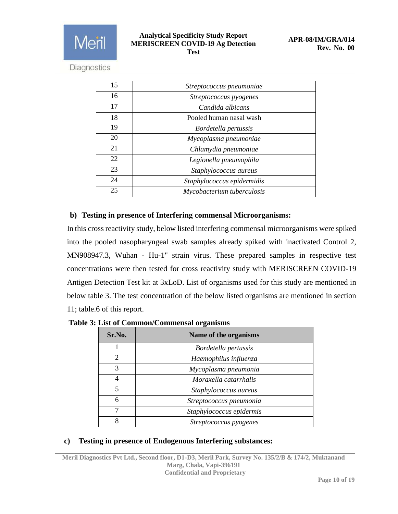

| 15 | Streptococcus pneumoniae   |
|----|----------------------------|
| 16 | Streptococcus pyogenes     |
| 17 | Candida albicans           |
| 18 | Pooled human nasal wash    |
| 19 | Bordetella pertussis       |
| 20 | Mycoplasma pneumoniae      |
| 21 | Chlamydia pneumoniae       |
| 22 | Legionella pneumophila     |
| 23 | Staphylococcus aureus      |
| 24 | Staphylococcus epidermidis |
| 25 | Mycobacterium tuberculosis |

### **b) Testing in presence of Interfering commensal Microorganisms:**

In this cross reactivity study, below listed interfering commensal microorganisms were spiked into the pooled nasopharyngeal swab samples already spiked with inactivated Control 2, MN908947.3, Wuhan - Hu-1" strain virus. These prepared samples in respective test concentrations were then tested for cross reactivity study with MERISCREEN COVID-19 Antigen Detection Test kit at 3xLoD. List of organisms used for this study are mentioned in below table 3. The test concentration of the below listed organisms are mentioned in section 11; table.6 of this report.

| Sr.No. | Name of the organisms    |
|--------|--------------------------|
|        | Bordetella pertussis     |
| 2      | Haemophilus influenza    |
| 3      | Mycoplasma pneumonia     |
| 4      | Moraxella catarrhalis    |
| 5      | Staphylococcus aureus    |
| 6      | Streptococcus pneumonia  |
|        | Staphylococcus epidermis |
| 8      | Streptococcus pyogenes   |

 **Table 3: List of Common/Commensal organisms**

### **c) Testing in presence of Endogenous Interfering substances:**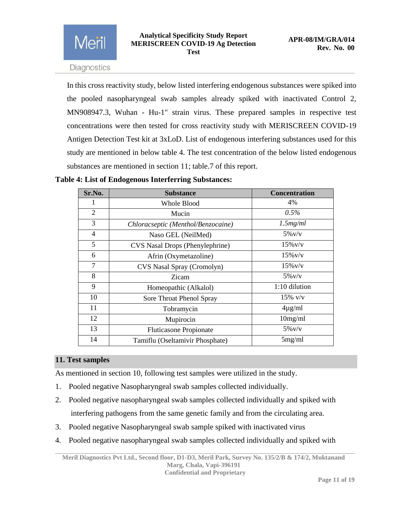In this cross reactivity study, below listed interfering endogenous substances were spiked into the pooled nasopharyngeal swab samples already spiked with inactivated Control 2, MN908947.3, Wuhan - Hu-1" strain virus. These prepared samples in respective test concentrations were then tested for cross reactivity study with MERISCREEN COVID-19 Antigen Detection Test kit at 3xLoD. List of endogenous interfering substances used for this study are mentioned in below table 4. The test concentration of the below listed endogenous substances are mentioned in section 11; table.7 of this report.

**Table 4: List of Endogenous Interferring Substances:**

| Sr.No.         | <b>Substance</b>                   | <b>Concentration</b> |
|----------------|------------------------------------|----------------------|
| 1              | <b>Whole Blood</b>                 | 4%                   |
| $\overline{2}$ | Mucin                              | $0.5\%$              |
| 3              | Chloracseptic (Menthol/Benzocaine) | 1.5mg/ml             |
| $\overline{4}$ | Naso GEL (NeilMed)                 | $5\%$ v/v            |
| 5              | CVS Nasal Drops (Phenylephrine)    | $15\%$ v/v           |
| 6              | Afrin (Oxymetazoline)              | $15\%$ v/v           |
| $\overline{7}$ | CVS Nasal Spray (Cromolyn)         | $15\%$ v/v           |
| 8              | Zicam                              | $5\%$ v/v            |
| 9              | Homeopathic (Alkalol)              | 1:10 dilution        |
| 10             | Sore Throat Phenol Spray           | $15\%$ v/v           |
| 11             | Tobramycin                         | $4\mu$ g/ml          |
| 12             | Mupirocin                          | 10mg/ml              |
| 13             | <b>Fluticasone Propionate</b>      | $5\%$ v/v            |
| 14             | Tamiflu (Oseltamivir Phosphate)    | 5mg/ml               |

### <span id="page-10-0"></span>**11. Test samples**

As mentioned in section 10, following test samples were utilized in the study.

- 1. Pooled negative Nasopharyngeal swab samples collected individually.
- 2. Pooled negative nasopharyngeal swab samples collected individually and spiked with interfering pathogens from the same genetic family and from the circulating area.
- 3. Pooled negative Nasopharyngeal swab sample spiked with inactivated virus
- 4. Pooled negative nasopharyngeal swab samples collected individually and spiked with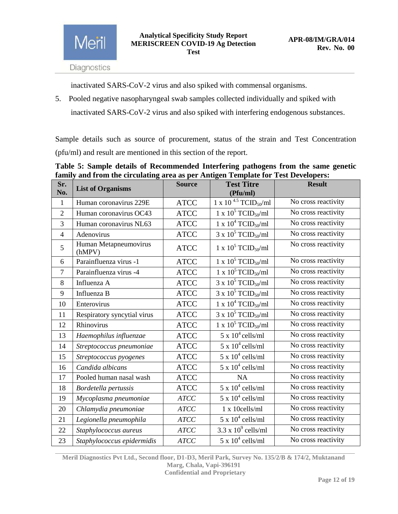inactivated SARS-CoV-2 virus and also spiked with commensal organisms.

5. Pooled negative nasopharyngeal swab samples collected individually and spiked with inactivated SARS-CoV-2 virus and also spiked with interfering endogenous substances.

Sample details such as source of procurement, status of the strain and Test Concentration (pfu/ml) and result are mentioned in this section of the report.

**Table 5: Sample details of Recommended Interfering pathogens from the same genetic family and from the circulating area as per Antigen Template for Test Developers:**

| Sr.<br>No.     | <b>List of Organisms</b>        | <b>Source</b>                                               | <b>Test Titre</b><br>(Pfu/ml)          | <b>Result</b>       |
|----------------|---------------------------------|-------------------------------------------------------------|----------------------------------------|---------------------|
| $\mathbf{1}$   | Human coronavirus 229E          | 1 x 10 <sup>4.5</sup> TCID <sub>50</sub> /ml<br><b>ATCC</b> |                                        | No cross reactivity |
| $\overline{2}$ | Human coronavirus OC43          | <b>ATCC</b>                                                 | 1 x $10^5$ TCID <sub>50</sub> /ml      | No cross reactivity |
| $\overline{3}$ | Human coronavirus NL63          | <b>ATCC</b>                                                 | 1 x $10^4$ TCID <sub>50</sub> /ml      | No cross reactivity |
| $\overline{4}$ | Adenovirus                      | <b>ATCC</b>                                                 | $3 \times 10^5$ TCID <sub>50</sub> /ml | No cross reactivity |
| 5              | Human Metapneumovirus<br>(hMPV) | <b>ATCC</b>                                                 | 1 x $10^5$ TCID <sub>50</sub> /ml      | No cross reactivity |
| 6              | Parainfluenza virus -1          | <b>ATCC</b>                                                 | 1 x $10^5$ TCID <sub>50</sub> /ml      | No cross reactivity |
| $\tau$         | Parainfluenza virus -4          | <b>ATCC</b>                                                 | 1 x $10^5$ TCID <sub>50</sub> /ml      | No cross reactivity |
| 8              | Influenza A                     | <b>ATCC</b>                                                 | $3 \times 10^5$ TCID <sub>50</sub> /ml | No cross reactivity |
| 9              | Influenza B                     | <b>ATCC</b>                                                 | $3 \times 10^5$ TCID <sub>50</sub> /ml | No cross reactivity |
| 10             | Enterovirus                     | <b>ATCC</b>                                                 | 1 x $10^4$ TCID <sub>50</sub> /ml      | No cross reactivity |
| 11             | Respiratory syncytial virus     | <b>ATCC</b>                                                 | $3 \times 10^5$ TCID <sub>50</sub> /ml | No cross reactivity |
| 12             | Rhinovirus                      | <b>ATCC</b>                                                 | 1 x $10^5$ TCID <sub>50</sub> /ml      | No cross reactivity |
| 13             | Haemophilus influenzae          | <b>ATCC</b>                                                 | $5 \times 10^4$ cells/ml               | No cross reactivity |
| 14             | Streptococcus pneumoniae        | <b>ATCC</b>                                                 | $5 \times 10^4$ cells/ml               | No cross reactivity |
| 15             | Streptococcus pyogenes          | <b>ATCC</b>                                                 | $5 \times 10^4$ cells/ml               | No cross reactivity |
| 16             | Candida albicans                | <b>ATCC</b>                                                 | $5 \times 10^4$ cells/ml               | No cross reactivity |
| 17             | Pooled human nasal wash         | <b>ATCC</b>                                                 | <b>NA</b>                              | No cross reactivity |
| 18             | Bordetella pertussis            | <b>ATCC</b>                                                 | $5 \times 10^4$ cells/ml               | No cross reactivity |
| 19             | Mycoplasma pneumoniae           | ATCC                                                        | $5 \times 10^4$ cells/ml               | No cross reactivity |
| 20             | Chlamydia pneumoniae            | <b>ATCC</b>                                                 | 1 x 10cells/ml                         | No cross reactivity |
| 21             | Legionella pneumophila          | <b>ATCC</b>                                                 | $5 \times 10^4$ cells/ml               | No cross reactivity |
| 22             | Staphylococcus aureus           | <b>ATCC</b>                                                 | $3.3 \times 10^9$ cells/ml             | No cross reactivity |
| 23             | Staphylococcus epidermidis      | <b>ATCC</b>                                                 | $5 \times 10^4$ cells/ml               | No cross reactivity |

**Meril Diagnostics Pvt Ltd., Second floor, D1-D3, Meril Park, Survey No. 135/2/B & 174/2, Muktanand Marg, Chala, Vapi-396191 Confidential and Proprietary**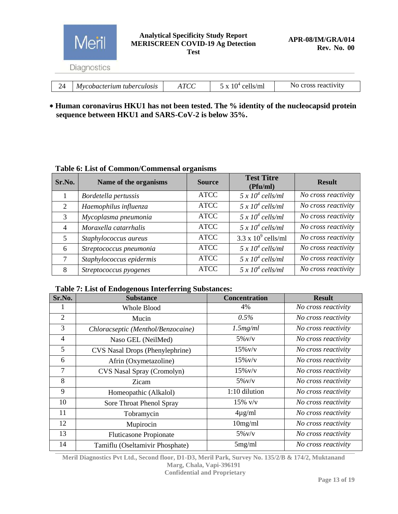

|  | <b>TTTZT74 1</b> | $\sim$ 1 $\sim$ 1 | $\mathbf{A}$<br>$\cdot$ $\cdot$ $\cdot$ | $\cdot$ . | . <b>. .</b> . |  |  |
|--|------------------|-------------------|-----------------------------------------|-----------|----------------|--|--|
|  |                  |                   |                                         |           |                |  |  |

### **Human coronavirus HKU1 has not been tested. The % identity of the nucleocapsid protein sequence between HKU1 and SARS-CoV-2 is below 35%.**

### **Table 6: List of Common/Commensal organisms**

| Sr.No.         | Name of the organisms    | <b>Source</b> | <b>Test Titre</b><br>(Pfu/ml) | <b>Result</b>       |
|----------------|--------------------------|---------------|-------------------------------|---------------------|
|                | Bordetella pertussis     | <b>ATCC</b>   | $5 \times 10^4$ cells/ml      | No cross reactivity |
| 2              | Haemophilus influenza    | <b>ATCC</b>   | $5 \times 10^4$ cells/ml      | No cross reactivity |
| 3              | Mycoplasma pneumonia     | <b>ATCC</b>   | $5 \times 10^4$ cells/ml      | No cross reactivity |
| $\overline{4}$ | Moraxella catarrhalis    | <b>ATCC</b>   | $5 \times 10^4$ cells/ml      | No cross reactivity |
| 5              | Staphylococcus aureus    | <b>ATCC</b>   | $3.3 \times 10^9$ cells/ml    | No cross reactivity |
| 6              | Streptococcus pneumonia  | <b>ATCC</b>   | $5 \times 10^4$ cells/ml      | No cross reactivity |
|                | Staphylococcus epidermis | <b>ATCC</b>   | $5 \times 10^4$ cells/ml      | No cross reactivity |
| 8              | Streptococcus pyogenes   | <b>ATCC</b>   | $5 \times 10^4$ cells/ml      | No cross reactivity |

### **Table 7: List of Endogenous Interferring Substances:**

| Sr.No.         | <b>Substance</b>                   | <b>Concentration</b> | <b>Result</b>       |
|----------------|------------------------------------|----------------------|---------------------|
|                | Whole Blood                        | 4%                   | No cross reactivity |
| $\overline{2}$ | Mucin                              | 0.5%                 | No cross reactivity |
| 3              | Chloracseptic (Menthol/Benzocaine) | 1.5mg/ml             | No cross reactivity |
| 4              | Naso GEL (NeilMed)                 | $5\%$ v/v            | No cross reactivity |
| 5              | CVS Nasal Drops (Phenylephrine)    | $15\%$ v/v           | No cross reactivity |
| 6              | Afrin (Oxymetazoline)              | $15\%$ v/v           | No cross reactivity |
| 7              | CVS Nasal Spray (Cromolyn)         | $15\%$ v/v           | No cross reactivity |
| 8              | Zicam                              | $5\%$ v/v            | No cross reactivity |
| 9              | Homeopathic (Alkalol)              | 1:10 dilution        | No cross reactivity |
| 10             | Sore Throat Phenol Spray           | $15\%$ v/v           | No cross reactivity |
| 11             | Tobramycin                         | $4\mu$ g/ml          | No cross reactivity |
| 12             | Mupirocin                          | 10mg/ml              | No cross reactivity |
| 13             | <b>Fluticasone Propionate</b>      | $5\%$ v/v            | No cross reactivity |
| 14             | Tamiflu (Oseltamivir Phosphate)    | 5mg/ml               | No cross reactivity |

**Meril Diagnostics Pvt Ltd., Second floor, D1-D3, Meril Park, Survey No. 135/2/B & 174/2, Muktanand Marg, Chala, Vapi-396191**

**Confidential and Proprietary**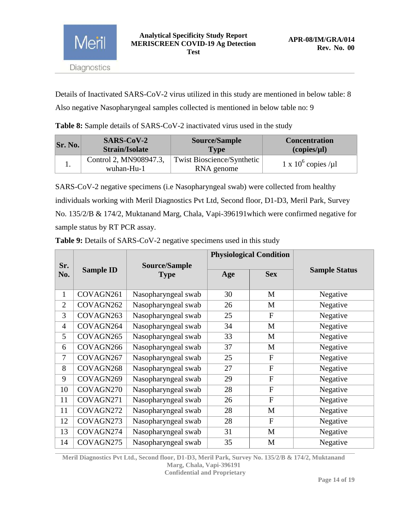

Details of Inactivated SARS-CoV-2 virus utilized in this study are mentioned in below table: 8 Also negative Nasopharyngeal samples collected is mentioned in below table no: 9

**Table 8:** Sample details of SARS-CoV-2 inactivated virus used in the study

| Sr. No. | $SARS-CoV-2$                         | <b>Source/Sample</b>                            | <b>Concentration</b>  |
|---------|--------------------------------------|-------------------------------------------------|-----------------------|
|         | <b>Strain/Isolate</b>                | <b>Type</b>                                     | (copies/µl)           |
|         | Control 2, MN908947.3,<br>wuhan-Hu-1 | <b>Twist Bioscience/Synthetic</b><br>RNA genome | 1 x $10^6$ copies /µl |

SARS-CoV-2 negative specimens (i.e Nasopharyngeal swab) were collected from healthy individuals working with Meril Diagnostics Pvt Ltd, Second floor, D1-D3, Meril Park, Survey No. 135/2/B & 174/2, Muktanand Marg, Chala, Vapi-396191which were confirmed negative for sample status by RT PCR assay.

|                |                  |                              |     | <b>Physiological Condition</b> |                      |
|----------------|------------------|------------------------------|-----|--------------------------------|----------------------|
| Sr.<br>No.     | <b>Sample ID</b> | Source/Sample<br><b>Type</b> | Age | <b>Sex</b>                     | <b>Sample Status</b> |
| $\mathbf{1}$   | COVAGN261        | Nasopharyngeal swab          | 30  | M                              | Negative             |
| $\overline{2}$ | COVAGN262        | Nasopharyngeal swab          | 26  | M                              | Negative             |
| 3              | COVAGN263        | Nasopharyngeal swab          | 25  | $\mathbf{F}$                   | Negative             |
| $\overline{4}$ | COVAGN264        | Nasopharyngeal swab          | 34  | M                              | Negative             |
| 5              | COVAGN265        | Nasopharyngeal swab          | 33  | M                              | Negative             |
| 6              | COVAGN266        | Nasopharyngeal swab          | 37  | M                              | Negative             |
| $\overline{7}$ | COVAGN267        | Nasopharyngeal swab          | 25  | $\mathbf{F}$                   | Negative             |
| 8              | COVAGN268        | Nasopharyngeal swab          | 27  | $\mathbf{F}$                   | Negative             |
| 9              | COVAGN269        | Nasopharyngeal swab          | 29  | $\overline{F}$                 | Negative             |
| 10             | COVAGN270        | Nasopharyngeal swab          | 28  | $\mathbf{F}$                   | Negative             |
| 11             | COVAGN271        | Nasopharyngeal swab          | 26  | $\overline{F}$                 | Negative             |
| 11             | COVAGN272        | Nasopharyngeal swab          | 28  | M                              | Negative             |
| 12             | COVAGN273        | Nasopharyngeal swab          | 28  | $\mathbf F$                    | Negative             |
| 13             | COVAGN274        | Nasopharyngeal swab          | 31  | M                              | Negative             |
| 14             | COVAGN275        | Nasopharyngeal swab          | 35  | M                              | Negative             |

**Table 9:** Details of SARS-CoV-2 negative specimens used in this study

**Meril Diagnostics Pvt Ltd., Second floor, D1-D3, Meril Park, Survey No. 135/2/B & 174/2, Muktanand Marg, Chala, Vapi-396191 Confidential and Proprietary**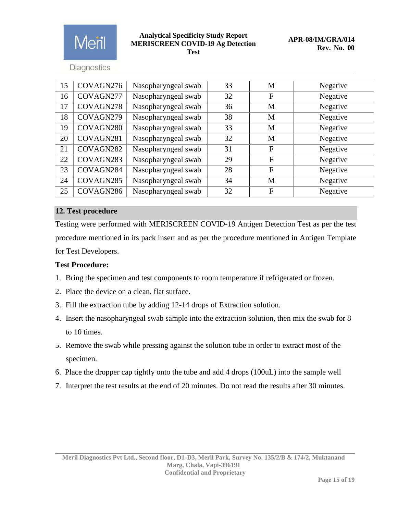

### **Analytical Specificity Study Report MERISCREEN COVID-19 Ag Detection Test**

Diagnostics

| 15 | COVAGN276 | Nasopharyngeal swab | 33 | M            | Negative |
|----|-----------|---------------------|----|--------------|----------|
| 16 | COVAGN277 | Nasopharyngeal swab | 32 | $\mathbf{F}$ | Negative |
| 17 | COVAGN278 | Nasopharyngeal swab | 36 | M            | Negative |
| 18 | COVAGN279 | Nasopharyngeal swab | 38 | M            | Negative |
| 19 | COVAGN280 | Nasopharyngeal swab | 33 | M            | Negative |
| 20 | COVAGN281 | Nasopharyngeal swab | 32 | M            | Negative |
| 21 | COVAGN282 | Nasopharyngeal swab | 31 | $\mathbf{F}$ | Negative |
| 22 | COVAGN283 | Nasopharyngeal swab | 29 | $\mathbf{F}$ | Negative |
| 23 | COVAGN284 | Nasopharyngeal swab | 28 | $\mathbf{F}$ | Negative |
| 24 | COVAGN285 | Nasopharyngeal swab | 34 | M            | Negative |
| 25 | COVAGN286 | Nasopharyngeal swab | 32 | $\mathbf F$  | Negative |

### <span id="page-14-0"></span>**12. Test procedure**

Testing were performed with MERISCREEN COVID-19 Antigen Detection Test as per the test procedure mentioned in its pack insert and as per the procedure mentioned in Antigen Template for Test Developers.

### **Test Procedure:**

- 1. Bring the specimen and test components to room temperature if refrigerated or frozen.
- 2. Place the device on a clean, flat surface.
- 3. Fill the extraction tube by adding 12-14 drops of Extraction solution.
- 4. Insert the nasopharyngeal swab sample into the extraction solution, then mix the swab for 8 to 10 times.
- 5. Remove the swab while pressing against the solution tube in order to extract most of the specimen.
- 6. Place the dropper cap tightly onto the tube and add 4 drops (100uL) into the sample well
- 7. Interpret the test results at the end of 20 minutes. Do not read the results after 30 minutes.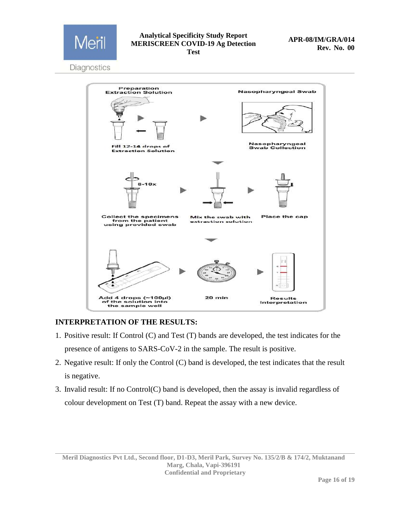

### **Analytical Specificity Study Report MERISCREEN COVID-19 Ag Detection Test**

Diagnostics



### **INTERPRETATION OF THE RESULTS:**

- 1. Positive result: If Control (C) and Test (T) bands are developed, the test indicates for the presence of antigens to SARS-CoV-2 in the sample. The result is positive.
- 2. Negative result: If only the Control (C) band is developed, the test indicates that the result is negative.
- 3. Invalid result: If no Control(C) band is developed, then the assay is invalid regardless of colour development on Test (T) band. Repeat the assay with a new device.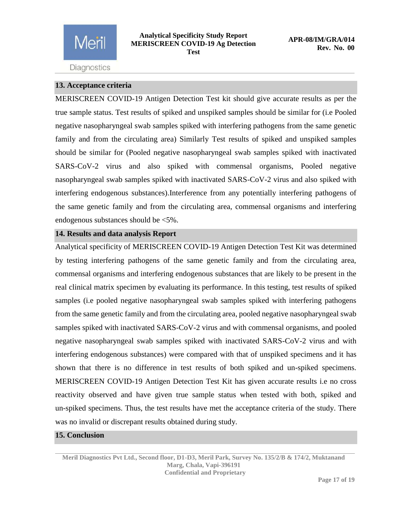

### <span id="page-16-0"></span>**13. Acceptance criteria**

MERISCREEN COVID-19 Antigen Detection Test kit should give accurate results as per the true sample status. Test results of spiked and unspiked samples should be similar for (i.e Pooled negative nasopharyngeal swab samples spiked with interfering pathogens from the same genetic family and from the circulating area) Similarly Test results of spiked and unspiked samples should be similar for (Pooled negative nasopharyngeal swab samples spiked with inactivated SARS-CoV-2 virus and also spiked with commensal organisms, Pooled negative nasopharyngeal swab samples spiked with inactivated SARS-CoV-2 virus and also spiked with interfering endogenous substances).Interference from any potentially interfering pathogens of the same genetic family and from the circulating area, commensal organisms and interfering endogenous substances should be <5%.

### <span id="page-16-1"></span>**14. Results and data analysis Report**

Analytical specificity of MERISCREEN COVID-19 Antigen Detection Test Kit was determined by testing interfering pathogens of the same genetic family and from the circulating area, commensal organisms and interfering endogenous substances that are likely to be present in the real clinical matrix specimen by evaluating its performance. In this testing, test results of spiked samples (i.e pooled negative nasopharyngeal swab samples spiked with interfering pathogens from the same genetic family and from the circulating area, pooled negative nasopharyngeal swab samples spiked with inactivated SARS-CoV-2 virus and with commensal organisms, and pooled negative nasopharyngeal swab samples spiked with inactivated SARS-CoV-2 virus and with interfering endogenous substances) were compared with that of unspiked specimens and it has shown that there is no difference in test results of both spiked and un-spiked specimens. MERISCREEN COVID-19 Antigen Detection Test Kit has given accurate results i.e no cross reactivity observed and have given true sample status when tested with both, spiked and un-spiked specimens. Thus, the test results have met the acceptance criteria of the study. There was no invalid or discrepant results obtained during study.

### <span id="page-16-2"></span>**15. Conclusion**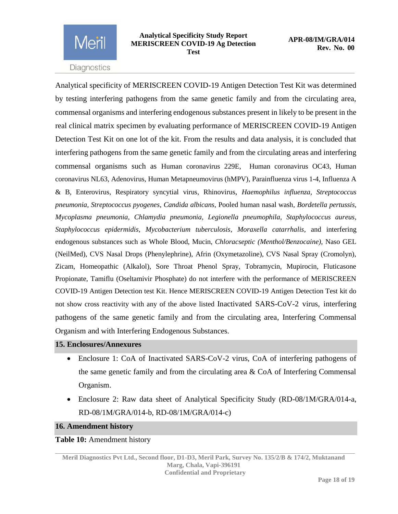

Analytical specificity of MERISCREEN COVID-19 Antigen Detection Test Kit was determined by testing interfering pathogens from the same genetic family and from the circulating area, commensal organisms and interfering endogenous substances present in likely to be present in the real clinical matrix specimen by evaluating performance of MERISCREEN COVID-19 Antigen Detection Test Kit on one lot of the kit. From the results and data analysis, it is concluded that interfering pathogens from the same genetic family and from the circulating areas and interfering commensal organisms such as Human coronavirus 229E, Human coronavirus OC43, Human coronavirus NL63, Adenovirus, Human Metapneumovirus (hMPV), Parainfluenza virus 1-4, Influenza A & B, Enterovirus, Respiratory syncytial virus, Rhinovirus, *Haemophilus influenza, Streptococcus pneumonia, Streptococcus pyogenes, Candida albicans,* Pooled human nasal wash*, Bordetella pertussis, Mycoplasma pneumonia, Chlamydia pneumonia, Legionella pneumophila, Staphylococcus aureus, Staphylococcus epidermidis, Mycobacterium tuberculosis, Moraxella catarrhalis,* and interfering endogenous substances such as Whole Blood, Mucin, *Chloracseptic (Menthol/Benzocaine),* Naso GEL (NeilMed), CVS Nasal Drops (Phenylephrine), Afrin (Oxymetazoline), CVS Nasal Spray (Cromolyn), Zicam, Homeopathic (Alkalol), Sore Throat Phenol Spray, Tobramycin, Mupirocin, Fluticasone Propionate, Tamiflu (Oseltamivir Phosphate) do not interfere with the performance of MERISCREEN COVID-19 Antigen Detection test Kit. Hence MERISCREEN COVID-19 Antigen Detection Test kit do not show cross reactivity with any of the above listed Inactivated SARS-CoV-2 virus, interfering pathogens of the same genetic family and from the circulating area, Interfering Commensal Organism and with Interfering Endogenous Substances.

### <span id="page-17-0"></span>**15. Enclosures/Annexures**

- Enclosure 1: CoA of Inactivated SARS-CoV-2 virus, CoA of interfering pathogens of the same genetic family and from the circulating area & CoA of Interfering Commensal Organism.
- Enclosure 2: Raw data sheet of Analytical Specificity Study (RD-08/1M/GRA/014-a, RD-08/1M/GRA/014-b, RD-08/1M/GRA/014-c)

### <span id="page-17-1"></span>**16. Amendment history**

### **Table 10:** Amendment history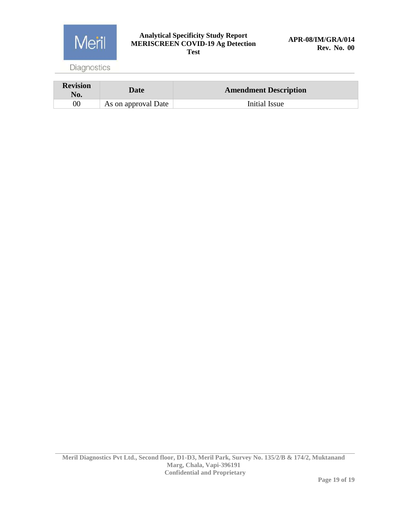

### **Analytical Specificity Study Report MERISCREEN COVID-19 Ag Detection Test**

Diagnostics

| <b>Revision</b><br>No. | Date                | <b>Amendment Description</b> |
|------------------------|---------------------|------------------------------|
|                        | As on approval Date | Initial Issue                |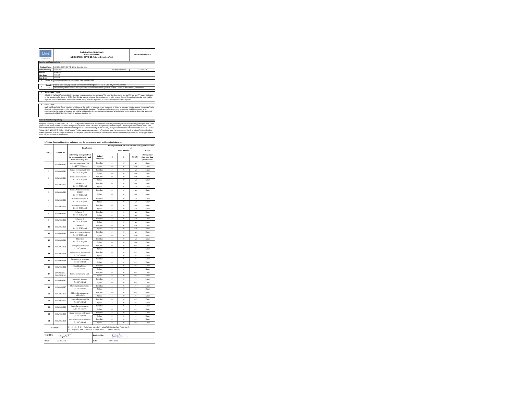| Merl<br>DIGESTIN |                                                                                                                                                                                                                                                                                                                                                                                                                                                                                                                                                                                                                                                                                                                                                                                                                                                   | <b>AnalyticalSpecificity Study</b><br>(Cross Reactivity)<br><b>MERISCREEN COVID-19 Antigen Detection Test</b>                                                                                                                                                                                                                                                                                                                 |                     | RD-08/1M/GRA/014-a |  |  |  |
|------------------|---------------------------------------------------------------------------------------------------------------------------------------------------------------------------------------------------------------------------------------------------------------------------------------------------------------------------------------------------------------------------------------------------------------------------------------------------------------------------------------------------------------------------------------------------------------------------------------------------------------------------------------------------------------------------------------------------------------------------------------------------------------------------------------------------------------------------------------------------|-------------------------------------------------------------------------------------------------------------------------------------------------------------------------------------------------------------------------------------------------------------------------------------------------------------------------------------------------------------------------------------------------------------------------------|---------------------|--------------------|--|--|--|
|                  | <b>Results and Data Analysis</b>                                                                                                                                                                                                                                                                                                                                                                                                                                                                                                                                                                                                                                                                                                                                                                                                                  |                                                                                                                                                                                                                                                                                                                                                                                                                               |                     |                    |  |  |  |
|                  |                                                                                                                                                                                                                                                                                                                                                                                                                                                                                                                                                                                                                                                                                                                                                                                                                                                   |                                                                                                                                                                                                                                                                                                                                                                                                                               |                     |                    |  |  |  |
|                  | Product Name:                                                                                                                                                                                                                                                                                                                                                                                                                                                                                                                                                                                                                                                                                                                                                                                                                                     | MERISCREEN COVID-19 An Detection test                                                                                                                                                                                                                                                                                                                                                                                         |                     |                    |  |  |  |
|                  | Date of testing:                                                                                                                                                                                                                                                                                                                                                                                                                                                                                                                                                                                                                                                                                                                                                                                                                                  | 19.04.2021                                                                                                                                                                                                                                                                                                                                                                                                                    | Date of Completion: | 22-04-2021         |  |  |  |
| I of No:         |                                                                                                                                                                                                                                                                                                                                                                                                                                                                                                                                                                                                                                                                                                                                                                                                                                                   | MI042106                                                                                                                                                                                                                                                                                                                                                                                                                      |                     |                    |  |  |  |
| Mfg. Date:       |                                                                                                                                                                                                                                                                                                                                                                                                                                                                                                                                                                                                                                                                                                                                                                                                                                                   | 2021/04                                                                                                                                                                                                                                                                                                                                                                                                                       |                     |                    |  |  |  |
| Exp. Date:       |                                                                                                                                                                                                                                                                                                                                                                                                                                                                                                                                                                                                                                                                                                                                                                                                                                                   | 2022/03                                                                                                                                                                                                                                                                                                                                                                                                                       |                     |                    |  |  |  |
|                  |                                                                                                                                                                                                                                                                                                                                                                                                                                                                                                                                                                                                                                                                                                                                                                                                                                                   | Tested at: Meril Diagnostics Pvt. Ltd., Chala, Vapi, Gujarat, India.                                                                                                                                                                                                                                                                                                                                                          |                     |                    |  |  |  |
|                  |                                                                                                                                                                                                                                                                                                                                                                                                                                                                                                                                                                                                                                                                                                                                                                                                                                                   |                                                                                                                                                                                                                                                                                                                                                                                                                               |                     |                    |  |  |  |
|                  | Sample                                                                                                                                                                                                                                                                                                                                                                                                                                                                                                                                                                                                                                                                                                                                                                                                                                            | Pooled Nasopharynosal swab samples confirmed negative for SARS-CoV-2 by RT PCR method                                                                                                                                                                                                                                                                                                                                         |                     |                    |  |  |  |
|                  | m.                                                                                                                                                                                                                                                                                                                                                                                                                                                                                                                                                                                                                                                                                                                                                                                                                                                | Inactivated synthetic SARS-CoV-2 procured from twist bioscience (positive control) Control 2, MN908947.3, wuhan-Hu-1                                                                                                                                                                                                                                                                                                          |                     |                    |  |  |  |
|                  |                                                                                                                                                                                                                                                                                                                                                                                                                                                                                                                                                                                                                                                                                                                                                                                                                                                   |                                                                                                                                                                                                                                                                                                                                                                                                                               |                     |                    |  |  |  |
|                  |                                                                                                                                                                                                                                                                                                                                                                                                                                                                                                                                                                                                                                                                                                                                                                                                                                                   | Acceptance Criteria:                                                                                                                                                                                                                                                                                                                                                                                                          |                     |                    |  |  |  |
|                  |                                                                                                                                                                                                                                                                                                                                                                                                                                                                                                                                                                                                                                                                                                                                                                                                                                                   | COVID-19 Ag Rapid Test should give accurate result as per true sample status. The color development on control (C) and test (T) bands indicates<br>for the presence of antigens to SARS-CoV-2 in the sample, whereas the development of color only on Control/C) band indicates the test result is<br>negative. If no control band is developed, then the assay is invalid regardless of colour development on test (T) band. |                     |                    |  |  |  |
|                  | Introduction:                                                                                                                                                                                                                                                                                                                                                                                                                                                                                                                                                                                                                                                                                                                                                                                                                                     |                                                                                                                                                                                                                                                                                                                                                                                                                               |                     |                    |  |  |  |
|                  |                                                                                                                                                                                                                                                                                                                                                                                                                                                                                                                                                                                                                                                                                                                                                                                                                                                   |                                                                                                                                                                                                                                                                                                                                                                                                                               |                     |                    |  |  |  |
|                  | Analytical Specificity/ Cross reactivity is defined as the ability of a measurement procedure to detect or measure only the analyte (measurand) to be<br>detected, in the presence of other substances/agents in the specimen. The influence of substances or agents that could be expected to be<br>encountered in the setting of intended use shall be addressed and these substances/agents shall be included in this testing to determine analytical<br>specificity of MERISCREEN COVID 19 Ag Detection Test Kit.                                                                                                                                                                                                                                                                                                                             |                                                                                                                                                                                                                                                                                                                                                                                                                               |                     |                    |  |  |  |
|                  |                                                                                                                                                                                                                                                                                                                                                                                                                                                                                                                                                                                                                                                                                                                                                                                                                                                   |                                                                                                                                                                                                                                                                                                                                                                                                                               |                     |                    |  |  |  |
|                  | Table 1: Analytical Specificity                                                                                                                                                                                                                                                                                                                                                                                                                                                                                                                                                                                                                                                                                                                                                                                                                   |                                                                                                                                                                                                                                                                                                                                                                                                                               |                     |                    |  |  |  |
|                  | Analytical specificity of MERISCREEN COVID 19 Ag Detection Test shall be determined by testing interfering and/or cross reacting pathogens from same<br>genetic family which shall be wet tested in negative real clinical matrix (i.e human nasopharyngeal swab sample). These negative real clinical matrix were<br>collected from healthy individuals and confirmed regative for sample status by RT PCR assay, later pooled and spiked with inactivated SARS-CoV-2 virus<br>("Control 2, MN908947.3, Wuhan - Hu-1" strain). To this, a virus concentration of 10" copies/ul from the same genetic family is spiked. Test results of un-<br>spiked specimens shall be compared with that of the spiked specimens to determine whether below mentioned interfering and/or cross reacting pathogens<br>affect the performance of the kit or not. |                                                                                                                                                                                                                                                                                                                                                                                                                               |                     |                    |  |  |  |

|                   |                                        |                                                                                                                                                     |                     | Testing with MERISCREEN COVID-19 Ag Detection Test |                              |                          |                                              |  |
|-------------------|----------------------------------------|-----------------------------------------------------------------------------------------------------------------------------------------------------|---------------------|----------------------------------------------------|------------------------------|--------------------------|----------------------------------------------|--|
|                   |                                        | Interference                                                                                                                                        |                     | kit<br><b>Band Intensity</b>                       |                              |                          | Result                                       |  |
| Sr.No.:           | Sample ID                              | Interfering pathogens from<br>the same genetic family and<br>from circulating area                                                                  | Spiked/<br>Unspiked | $\mathbf c$                                        | T                            | <b>Results</b>           | Background<br>clearance time<br>(In Minutes) |  |
| ĭ.                | COVAGN261                              | Human coronavirus 229E                                                                                                                              | Unspiked            | $\Delta$                                           | $\circ$                      | $-ve$                    | 12min                                        |  |
|                   |                                        | 1 x 10 <sup>45</sup> TCID <sub>30</sub> /ml                                                                                                         | Spiked              | 44                                                 | $\alpha$                     | $-ve$                    | 12min                                        |  |
| 2                 | COVAGN261                              | Human coronavirus OC43                                                                                                                              | Unspiked            | $\Delta$                                           | $\alpha$                     | $-ve$                    | 1.4min                                       |  |
|                   |                                        | 1 x 10 <sup>5</sup> TCIDwml                                                                                                                         | Spiked              | $\Lambda$ is                                       | $\alpha$                     | $-ve$                    | 12min                                        |  |
| t                 | COVAGN261                              | Human coronavirus NL63                                                                                                                              | Unspiked            | $\Delta$                                           | $\circ$                      | -ve                      | 13min                                        |  |
|                   |                                        | $1 \times 10^4$ TCID <sub>50</sub> /ml                                                                                                              | Spiked              | $\Delta$                                           | $\circ$                      | $-ve$                    | 12min                                        |  |
| 4                 | COVAGN261                              | Adenovirus<br>$1 \ge 10^4$ TCID50/ml                                                                                                                | Unspiked<br>Spiked  | 44<br>$\overline{4}$                               | $\overline{0}$<br>$\alpha$   | <b>ALC</b><br><b>ALC</b> | 1 Smin<br>13min                              |  |
|                   |                                        | Human Metapneumovirus                                                                                                                               | Unspiked            | $\overline{4}$                                     | $\alpha$                     | <b>ALC</b>               | 12min                                        |  |
| ×,                | COVAGN262                              | (hMPV)                                                                                                                                              |                     |                                                    |                              |                          |                                              |  |
|                   |                                        | 1 x $10^5$ TCID <sub>50</sub> /ml                                                                                                                   | Spiked              | 4 <sub>0</sub>                                     | $\Omega$                     | <b>ALC</b>               | 1.4min                                       |  |
| Ġ                 | COVAGN262                              | Parainfluenza virus -1                                                                                                                              | Unspiked            | $\Delta$                                           | $\circ$                      | $-ve$                    | 12min                                        |  |
|                   |                                        | $1 \times 10^5$ TCID <sub>w</sub> /ml                                                                                                               | Spiked              | $\Delta$                                           | $\circ$                      | $-ve$                    | 13min                                        |  |
| z                 | COVAGN262                              | Parainfluenza virus -4<br>$1 \times 10^5$ TCID <sub>50</sub> /ml                                                                                    | Unspiked            | $\Delta$<br>$\Delta$                               | $\circ$<br>$\alpha$          | -ve                      | 14 <sub>min</sub><br>1.4min                  |  |
|                   |                                        |                                                                                                                                                     | Spiked              | $\overline{4}$                                     | $\alpha$                     | <b>ALC</b><br><b>ALC</b> | 12min                                        |  |
| $\mathbf{x}$      | COVAGN262                              | Influenza A<br>$3 \ge 10^5$ TCID50/ml                                                                                                               | Unspiked<br>Spiked  | $\overline{4}$                                     | $\alpha$                     | <b>ALC</b>               | 13min                                        |  |
|                   |                                        | Influenza B                                                                                                                                         | Unspiked            | $\overline{4}$                                     | $\mathbf{0}$                 | <b>ALC</b>               | 12min                                        |  |
| è                 | COVAGN263                              | $3 \times 10^5$ TCID <sub>59</sub> /ml                                                                                                              | Spiked              | 4 <sub>0</sub>                                     | $\theta$                     | $-ve$                    | 14min                                        |  |
|                   |                                        | Enterovirus                                                                                                                                         | Unspiked            | $\Delta$                                           | $\circ$                      | $-ve$                    | 13min                                        |  |
| 10                | COVAGN263                              | $1 \times 10^4$ TCID-wind                                                                                                                           | Spiked              | 4.1                                                | $\circ$                      | $-ve$                    | 14min                                        |  |
| $\mathbf{u}$      | COVAGN263                              | Respiratory syncytial virus                                                                                                                         | Unspiked            | $\Delta$                                           | $\circ$                      | $-ve$                    | 15min                                        |  |
|                   | $3 \times 10^5$ TCID <sub>50</sub> /ml | Spiked                                                                                                                                              | $\Delta$            | $\alpha$                                           | $-ve$                        | 1.4min                   |                                              |  |
| 12                | COVAGN263                              | Rhinovirus                                                                                                                                          | Unspiked            | $\Delta$                                           | $\alpha$                     | $-ve$                    | 12min                                        |  |
|                   |                                        | $1 \times 10^5$ TCID <sub>59</sub> /ml                                                                                                              | Spiked              | $\Delta$                                           | $\alpha$                     | $-ve$                    | 13min                                        |  |
| 13                | COVAGN264                              | Haemophilus influenzae                                                                                                                              | Unspiked            | $\Delta$                                           | $\alpha$                     | $-ve$                    | 13min                                        |  |
|                   |                                        | $5 \times 10^4$ cells/ml                                                                                                                            | Spiked              | $\Delta$                                           | $\alpha$                     | <b>ALC</b>               | 12min                                        |  |
| 14                | COVAGN264                              | Streptococcus pneumoniae<br>$5 \times 10^4$ cells/ml                                                                                                | Unspiked            | $\overline{4}$                                     | $\mathbf{0}$                 | $-ve$                    | 12min                                        |  |
|                   |                                        |                                                                                                                                                     | Spiked<br>Unspiked  | $\overline{4}$<br>$\overline{4}$                   | $\mathbf{0}$<br>$\mathbf{0}$ | $-ve$                    | 1.4min<br>13min                              |  |
| 15                | COVAGN264                              | Streptococcus pyogenes<br>$5 \times 10^4$ cells/ml                                                                                                  | Spiked              | 4 <sub>0</sub>                                     | $\circ$                      | $-ve$<br>$-ve$           | 15min                                        |  |
|                   |                                        | Candida albicans                                                                                                                                    | Unspiked            | $\Lambda$ is                                       | $\Omega$                     | $-ve$                    | 12min                                        |  |
| 16                | COVAGN264                              | $5 \times 10^4$ cells/ml                                                                                                                            | Spiked              | $\Delta$                                           | $\alpha$                     | $-ve$                    | 12min                                        |  |
|                   | COVAGN265                              |                                                                                                                                                     | Unspiked            | $\Delta$                                           | $\alpha$                     | <b>ALC</b>               | 13min                                        |  |
| 17                | COVAGN266                              | Pooled human nasal wash                                                                                                                             | Spiked              | $\Delta$                                           | $\alpha$                     | <b>ALC</b>               | 1 Smin                                       |  |
| 18                | COVAGN267                              | Bordetella pertussis                                                                                                                                | Unspiked            | $\Delta$                                           | $\circ$                      | $-ve$                    | 1.4min                                       |  |
|                   |                                        | $5 \times 10^4$ cells/ml                                                                                                                            | Spiked              | $\Delta$                                           | $\circ$                      | $-ve$                    | 12min                                        |  |
| 19                | COVAGN267                              | Mycoplasma pneumoniae                                                                                                                               | Unspiked            | $\Delta$                                           | $\alpha$                     | $-ve$                    | 1.4min                                       |  |
|                   |                                        | $5 \times 10^4$ cells/ml                                                                                                                            | Spiked              | $\Delta$                                           | $\mathbf 0$                  | $-ve$                    | 15min                                        |  |
| 20                | COVAGN267                              | Chlamydia pneumoniae                                                                                                                                | Unspiked            | $\Delta$                                           | $\alpha$                     | $-ve$                    | 1.4min                                       |  |
|                   |                                        | 1 x 10 cells/ml                                                                                                                                     | Spiked              | $\Delta$                                           | $\circ$                      | $-ve$                    | 12min                                        |  |
| 21                | COVAGN267                              | Legionella pneumophila<br>$5 \times 10^4$ cells/ml                                                                                                  | Unspiked            | $\Lambda$ is<br>$\Delta$                           | $\alpha$                     | $-ve$                    | 13min                                        |  |
|                   |                                        |                                                                                                                                                     | Spiked              | $\Delta$                                           | $\circ$<br>$\circ$           | $-ve$<br>$-ve$           | 14 <sub>min</sub><br>1.4min                  |  |
| 22                | COVAGN268                              | Staphylococcus aureus<br>$3.3 \times 10^{9}$ cells/ml                                                                                               | Unspiked<br>Spiked  | $\overline{4}$                                     | $\alpha$                     | <b>ALC</b>               | 12min                                        |  |
|                   |                                        | Staphylococcus epidermidis                                                                                                                          | Unspiked            | $4+$                                               | $\mathbf{0}$                 | <b>ALC</b>               | 13min                                        |  |
| 23                | COVAGN268                              | $5 \times 10^4$ cells/ml                                                                                                                            | Spiked              | $\overline{a}$                                     | $\alpha$                     | <b>ALC</b>               | 13min                                        |  |
|                   |                                        | Mycobacterium tuberculosis                                                                                                                          | Unspiked            | $4+$                                               | $\mathbf{o}$                 | $-ve$                    | 12min                                        |  |
| 24                | COVAGN268                              | $5 \times 10^4$ cells/ml                                                                                                                            | Spiked              | $4+$                                               | $\theta$                     | $-ve$                    | 12min                                        |  |
|                   | Footnotes:                             | 0, 1+, 2+, 3+ & 4+ = Color band intensity by using WHO color chart Prototype: A<br>Ve : Negative, +Ve : Positive, C :Control Band, T: SARS-CoV-2 Ag |                     |                                                    |                              |                          |                                              |  |
| <b>Tested By:</b> | $\lambda$ $\rightarrow$                |                                                                                                                                                     | <b>Reviewed By:</b> | <b>Long for</b>                                    |                              |                          |                                              |  |
| Date:             | 22-04-2021                             |                                                                                                                                                     | Date:               | 22-04-2021                                         |                              |                          |                                              |  |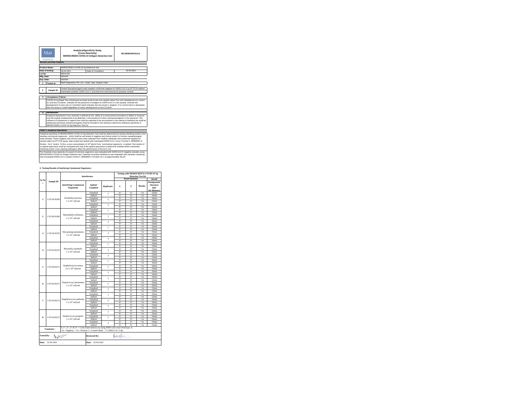| Meri<br>Diazyluration |                                                                                                                                                                                                                                                                                                                                                                                                                                  |                                                                                                                   | <b>AnalyticalSpecificity Study</b><br>(Cross Reactivity)<br><b>MERISCREEN COVID-19 Antigen Detection test</b>                                                                                                                                                                                                                                                                                                                                                              | RD-08/IM/GRA/014-b |  |
|-----------------------|----------------------------------------------------------------------------------------------------------------------------------------------------------------------------------------------------------------------------------------------------------------------------------------------------------------------------------------------------------------------------------------------------------------------------------|-------------------------------------------------------------------------------------------------------------------|----------------------------------------------------------------------------------------------------------------------------------------------------------------------------------------------------------------------------------------------------------------------------------------------------------------------------------------------------------------------------------------------------------------------------------------------------------------------------|--------------------|--|
|                       | <b>Results and Data Analysis</b>                                                                                                                                                                                                                                                                                                                                                                                                 |                                                                                                                   |                                                                                                                                                                                                                                                                                                                                                                                                                                                                            |                    |  |
|                       | Product Name:                                                                                                                                                                                                                                                                                                                                                                                                                    |                                                                                                                   | MERISCREEN COVID-19 Ag Detection test                                                                                                                                                                                                                                                                                                                                                                                                                                      |                    |  |
|                       | Date of testing:                                                                                                                                                                                                                                                                                                                                                                                                                 | 19-04-2021                                                                                                        | Date of Completion:                                                                                                                                                                                                                                                                                                                                                                                                                                                        | 22-04-2021         |  |
| I at No:              |                                                                                                                                                                                                                                                                                                                                                                                                                                  | MI042106                                                                                                          |                                                                                                                                                                                                                                                                                                                                                                                                                                                                            |                    |  |
| Mfg. Date:            |                                                                                                                                                                                                                                                                                                                                                                                                                                  | 2021/04                                                                                                           |                                                                                                                                                                                                                                                                                                                                                                                                                                                                            |                    |  |
| Exp. Date:            |                                                                                                                                                                                                                                                                                                                                                                                                                                  | 2022/03                                                                                                           |                                                                                                                                                                                                                                                                                                                                                                                                                                                                            |                    |  |
|                       | <b>Tested at:</b>                                                                                                                                                                                                                                                                                                                                                                                                                |                                                                                                                   | Meril Diagnostics Pvt. Ltd., Chala, Vapi, Guiarat, India,                                                                                                                                                                                                                                                                                                                                                                                                                  |                    |  |
|                       |                                                                                                                                                                                                                                                                                                                                                                                                                                  |                                                                                                                   |                                                                                                                                                                                                                                                                                                                                                                                                                                                                            |                    |  |
| 2                     | Sample ID:                                                                                                                                                                                                                                                                                                                                                                                                                       |                                                                                                                   | Pooled Nasopharyngeal swab samples confirmed negative for SARS-CoV-2 by RT PCR method<br>Inactivated synthetic SARS-CoV-2 procured from twist bioscience (positive control)                                                                                                                                                                                                                                                                                                |                    |  |
| х                     | <b>Acceptance Criteria:</b>                                                                                                                                                                                                                                                                                                                                                                                                      |                                                                                                                   |                                                                                                                                                                                                                                                                                                                                                                                                                                                                            |                    |  |
|                       | COVID-19 Ag Rapid Test should give accurate result as per true sample status. The color development on control<br>(C) and test (T) bands indicates for the presence of antigens to SARS-CoV-2 in the sample, whereas the<br>development of color only on Control(C) band indicates the test result is negative. If no control band is developed.<br>then the assay is invalid regardless of colour development on test (T) band. |                                                                                                                   |                                                                                                                                                                                                                                                                                                                                                                                                                                                                            |                    |  |
|                       | Introduction:                                                                                                                                                                                                                                                                                                                                                                                                                    |                                                                                                                   |                                                                                                                                                                                                                                                                                                                                                                                                                                                                            |                    |  |
|                       |                                                                                                                                                                                                                                                                                                                                                                                                                                  | MERISCREEN COVID 19 Ag Detection Test Kit.                                                                        | Analytical Specificity/ Cross reactivity is defined as the ability of a measurement procedure to detect or measure<br>only the analyte (measurand) to be detected, in the presence of other substances/agents in the specimen. The<br>influence of substances or agents that could be expected to be encountered in the setting of intended use shall be<br>addressed and these substances/agents shall be included in this testing to determine analytical specificity of |                    |  |
|                       | <b>Table 1: Analytical Specificity</b>                                                                                                                                                                                                                                                                                                                                                                                           |                                                                                                                   |                                                                                                                                                                                                                                                                                                                                                                                                                                                                            |                    |  |
|                       |                                                                                                                                                                                                                                                                                                                                                                                                                                  | reacting commensal organisms which shall be wet tested in negative real clinical matrix (i.e human nascoharyngeal | Analytical specificity of MERISCREEN COVID 19 Ag Detection Test shall be determined by testing interfering and/or cross                                                                                                                                                                                                                                                                                                                                                    |                    |  |

un-spited specimens shall be compared with that of the spited specimens to determine whether below mentioned<br>interfering and/or cross reacting pathogens affect the performance of the kit or not.<br>The Potential cross-reactiv

### **2. Testing Results of Interfering Commensal Organisms :**

|                               |                  |                                                                                    |                     | Testing with MERISCREEN COVID-19 Ag<br><b>Detection Test kit</b> |                         |                            |                |                                                                  |
|-------------------------------|------------------|------------------------------------------------------------------------------------|---------------------|------------------------------------------------------------------|-------------------------|----------------------------|----------------|------------------------------------------------------------------|
|                               |                  | Interference                                                                       |                     |                                                                  |                         | <b>Band Intensity</b>      |                |                                                                  |
| Sr.No<br>$\ddot{\phantom{a}}$ | Sample ID        | <b>Interfering Commensal</b><br>Organisms                                          | Spiked/<br>Unspiked | <b>Replicates</b>                                                | c                       | T                          | <b>Results</b> | Result<br><b>Background</b><br>clearance<br>time<br>(In Minutes) |
|                               |                  |                                                                                    | Unspiked            | 1                                                                | $4+$                    | $^{4+}$                    | $+ve$          | 12min                                                            |
|                               |                  |                                                                                    | Spiked              |                                                                  | $4+$                    | $^{4+}$                    | $+ve$          | 14min                                                            |
| $\mathbf{I}$                  | COVAGN269        | Bordetella pertussis                                                               | Unspiked            | $\overline{c}$                                                   | $4+$                    | $\overline{4+}$            | $+ve$          | 14min                                                            |
|                               |                  | $5 \times 10^4$ cells/ml                                                           | Spiked              |                                                                  | $\overline{4+}$         | $\overline{4+}$            | $+ve$          | 12min                                                            |
|                               |                  |                                                                                    | Unspiked            | 3                                                                | $4+$                    | $^{4+}$                    | $+ve$          | 12min                                                            |
|                               |                  |                                                                                    | Spiked              |                                                                  | $4 +$                   | $^{4+}$                    | $+ve$          | 12min                                                            |
|                               |                  |                                                                                    | Unspiked            | 1                                                                | $4+$                    | $\overline{4+}$            | $+ve$          | 13min                                                            |
|                               |                  |                                                                                    | Spiked              |                                                                  | $4+$                    | $^{4+}$                    | $+ve$          | 13min                                                            |
| $\overline{2}$                | COVAGN269        | Haemophilus influenza                                                              | Unspiked            | $\overline{2}$                                                   | $4+$                    | $\overline{4+}$            | $+ve$          | 12min                                                            |
|                               |                  | $5 \times 10^4$ cells/ml                                                           | Spiked              |                                                                  | $4+$                    | $^{4+}$                    | $+ve$          | 14min                                                            |
|                               |                  |                                                                                    | Unspiked            | $\overline{\mathbf{3}}$                                          | $4+$                    | $4+$                       | $+ve$          | 12min                                                            |
|                               |                  |                                                                                    | Spiked              |                                                                  | $4+$                    | $^{4+}$                    | $+ve$          | 12min                                                            |
|                               |                  |                                                                                    | Unspiked            | $\mathbf{I}$                                                     | $4 +$                   | $\overline{4+}$            | $+ve$          | 14min                                                            |
|                               |                  |                                                                                    | Spiked              |                                                                  | $4+$                    | $^{4+}$                    | $+ve$          | 15min                                                            |
| $\overline{\mathbf{3}}$       | COVAGN270        | Mycoplasma pneumonia                                                               | Unspiked            | $\overline{2}$                                                   | $\overline{4+}$         | $\overline{4+}$            | $+ve$          | 15min                                                            |
|                               |                  | $5 \times 10^4$ cells/ml                                                           | Spiked              |                                                                  | $4+$                    | $^{4+}$                    | $+ve$          | 12min                                                            |
|                               |                  |                                                                                    | Unspiked            | 3                                                                | $4 +$                   | $^{4+}$                    | $+ve$          | 14min                                                            |
|                               |                  |                                                                                    | Spiked              |                                                                  | $4+$                    | $^{4+}$                    | $+ve$          | 14min                                                            |
|                               | COVAGN270        | Moraxella catarrhalis<br>$5 \times 10^{4}$ cells/ml                                | Unspiked            | 1<br>$\overline{2}$                                              | $4+$                    | $\overline{4+}$            | $+ve$          | 12min                                                            |
| $\overline{4}$                |                  |                                                                                    | Spiked              |                                                                  | $4+$                    | $^{4+}$                    | $+ve$          | 13min                                                            |
|                               |                  |                                                                                    | Unspiked            |                                                                  | $4+$                    | $^{4+}$                    | $+ve$          | 13min                                                            |
|                               |                  |                                                                                    | Spiked              |                                                                  | $4+$<br>$\overline{4+}$ | $^{4+}$<br>$\overline{4+}$ | $+ve$<br>$+ve$ | 12min<br>12min                                                   |
|                               |                  |                                                                                    | Unspiked            | 3                                                                | $4+$                    | $^{4+}$                    | $+ve$          | 12min                                                            |
|                               |                  |                                                                                    | Spiked<br>Unspiked  |                                                                  | $4+$                    | $^{4+}$                    |                | 14min                                                            |
|                               |                  | Staphylococcus aureus<br>$3.3 \times 10^{9}$ cells/ml                              | Spiked              | $\mathbf{I}$<br>$\overline{2}$                                   | $4+$                    | $4+$                       | $+ve$<br>$+ve$ | 14min                                                            |
|                               |                  |                                                                                    | Unspiked            |                                                                  | $\overline{4+}$         | $\overline{4+}$            | $+ve$          | 14min                                                            |
| 5                             | COVAGN271        |                                                                                    | Spiked              |                                                                  | $4+$                    | $^{4+}$                    | $+ve$          | 15min                                                            |
|                               |                  |                                                                                    | Unspiked            |                                                                  | $4+$                    | $^{4+}$                    | $+ve$          | 14min                                                            |
|                               |                  |                                                                                    | Spiked              | $\overline{\mathbf{3}}$                                          | $4+$                    | $^{4+}$                    | $+ve$          | 14min                                                            |
|                               |                  |                                                                                    | Unspiked            |                                                                  | $4 +$                   | $\overline{4+}$            | $+ve$          | 14min                                                            |
|                               |                  |                                                                                    | Spiked              | $\mathbf{I}$                                                     | $4+$                    | $^{4+}$                    | $+ve$          | 12min                                                            |
|                               |                  | Streptococcus pneumonia                                                            | Unspiked            |                                                                  | $4+$                    | $^{4+}$                    | $+ve$          | 12min                                                            |
| 6                             | COVAGN271        | $5 \times 10^4$ cells/ml                                                           | Spiked              | $\overline{2}$                                                   | $4 +$                   | $\overline{4+}$            | $+ve$          | 14 <sub>min</sub>                                                |
|                               |                  |                                                                                    | Unspiked            |                                                                  | $4+$                    | $4+$                       | $+ve$          | 13min                                                            |
|                               |                  |                                                                                    | Spiked              | R                                                                | $\overline{4+}$         | $\overline{4+}$            | $+ve$          | 13min                                                            |
|                               |                  |                                                                                    | Unspiked            | I.                                                               | $4+$                    | $4+$                       | $+ve$          | 12min                                                            |
|                               |                  |                                                                                    | Spiked              |                                                                  | $4+$                    | $4+$                       | $+ve$          | 12min                                                            |
| $\overline{7}$                | COVAGN272        | Staphylococcus epidermis                                                           | Unspiked            | $\overline{2}$                                                   | $4+$                    | $4+$                       | $+ve$          | 14min                                                            |
|                               |                  | $5 \times 10^4$ cells/ml                                                           | Spiked              |                                                                  | $\overline{4+}$         | $\overline{4+}$            | $+ve$          | 14min                                                            |
|                               |                  |                                                                                    | Unspiked            | 3                                                                | $4+$                    | $^{4+}$                    | $+ve$          | 13min                                                            |
|                               |                  |                                                                                    | Spiked              |                                                                  | $\overline{4+}$         | $\overline{4+}$            | $+ve$          | 13min                                                            |
|                               |                  |                                                                                    | Unspiked            | I.                                                               | $4+$                    | $^{4+}$                    | $+ve$          | 12min                                                            |
|                               |                  |                                                                                    | Spiked              |                                                                  | $4 +$                   | $\overline{4+}$            | $+ve$          | 12min                                                            |
| $\bf{S}$                      | COVAGN272        | Streptococcus pyogenes                                                             | Unspiked            | $\overline{2}$                                                   | $4+$                    | $^{4+}$                    | $+ve$          | 14min                                                            |
|                               |                  | $5 \times 10^4$ cells/ml                                                           | Spiked              |                                                                  | $4+$                    | $4+$                       | $+ve$          | 14min                                                            |
|                               |                  |                                                                                    | Unspiked            | $\overline{\mathbf{3}}$                                          | $4+$                    | $^{4+}$                    | $+ve$          | 13min                                                            |
|                               |                  |                                                                                    | Spiked              |                                                                  | $4 +$                   | $^{4+}$                    | $+ve$          | 12min                                                            |
|                               | Footnotes:       | $0, 1+, 2+, 3+ \& 4+$ = Color band intensity by using WHO color chart Prototype: A |                     |                                                                  |                         |                            |                |                                                                  |
|                               |                  | Ve: Negative, +Ve: Positive, C: Control Band , T: SARS-CoV-2 Ag                    |                     |                                                                  |                         |                            |                |                                                                  |
| <b>Tested By:</b>             | $N - 1$          |                                                                                    | Reviewed By:        |                                                                  | Light                   |                            |                |                                                                  |
|                               | Date: 22-04-2021 |                                                                                    | Date: 22-04-2021    |                                                                  |                         |                            |                |                                                                  |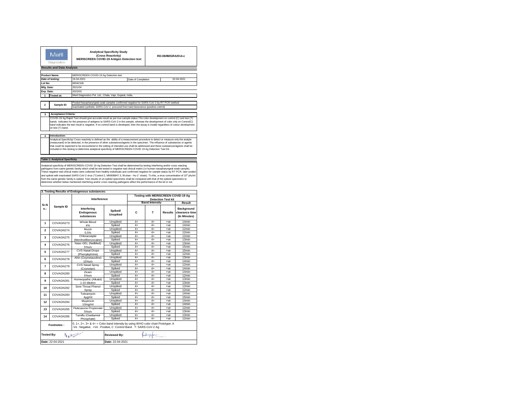|                | Meril<br>Diagnostics             | <b>Analytical Specificity Study</b><br>(Cross Reactivity)<br><b>MERISCREEN COVID-19 Antigen Detection test</b> |                    | RD-08/IM/GRA/014-c |  |
|----------------|----------------------------------|----------------------------------------------------------------------------------------------------------------|--------------------|--------------------|--|
|                | <b>Results and Data Analysis</b> |                                                                                                                |                    |                    |  |
|                | <b>Product Name:</b>             | MERISCREEN COVID-19 Ag Detection test                                                                          |                    |                    |  |
|                | Date of testing:                 | 19-04-2021                                                                                                     | Date of Completion | 22-04-2021         |  |
| Lot No:        |                                  | MI042106                                                                                                       |                    |                    |  |
| Mfg. Date:     |                                  | 2021/04                                                                                                        |                    |                    |  |
| Exp. Date:     |                                  | 2022/03                                                                                                        |                    |                    |  |
|                | <b>Tested at:</b>                | Meril Diagnostics Pvt. Ltd., Chala, Vapi, Guiarat, India.                                                      |                    |                    |  |
|                |                                  |                                                                                                                |                    |                    |  |
| $\overline{2}$ | Sample ID:                       | Pooled Nasopharyngeal swab samples confirmed negative for SARS-CoV-2 by RT PCR method                          |                    |                    |  |
|                |                                  | Inactivated synthetic SARS-CoV-2 procured from twist bioscience (positive control)                             |                    |                    |  |

### **3 Acceptance Criteria:**

COVID-19 Ag Rapid Test should give accurate result as per true sample status.The color development on control (C) and test (T) bands indicates for the presence of antigens to SARS-CoV-2 in the sample, whereas the development of color only on Control(C)<br>band indicates the test result is negative. If no control band is developed, then the assay is on test (T) band.

### **4 Introduction:**

Analytical Specificity/ Cross reactivity is defined as the ability of a measurement procedure to detect or measure only the analyte (measurand) to be detected, in the presence of other substances/agents in the specimen. The influence of substances or agents<br>that could be expected to be encountered in the setting of intended use shall be addressed and t

### **Table 1: Analytical Specificity**

Analyical specificty of MERISCREEN COVID 19 Ag Detection Test shall be determined by testing interfering and/or cross reacting<br>pathogens from same genetic family which shall be wet tested in negative real confirmed negativ from the same genetic family is spiked. Test results of un-spiked specimens shall be compared with that of the spiked specimens to<br>determine whether below mentioned interfering and/or cross reacting pathogens affect the pe

|                                                                       |                  | 3. Testing Results of Endogenous substances:                                                                                                        |                     |      |                                                                  |                |                                              |  |
|-----------------------------------------------------------------------|------------------|-----------------------------------------------------------------------------------------------------------------------------------------------------|---------------------|------|------------------------------------------------------------------|----------------|----------------------------------------------|--|
|                                                                       |                  | Interference                                                                                                                                        |                     |      | Testing with MERISCREEN COVID-19 Ag<br><b>Detection Test kit</b> |                |                                              |  |
| Sr.N                                                                  |                  |                                                                                                                                                     |                     |      | <b>Band Intensity</b>                                            |                | Result                                       |  |
| o.:                                                                   | Sample ID        | Interfering<br>Endogenous<br>substances                                                                                                             | Spiked/<br>Unspiked | c    | T.                                                               | <b>Results</b> | Background<br>clearance time<br>(In Minutes) |  |
| 1                                                                     | COVAGN273        | Whole Blood                                                                                                                                         | Unspiked            | $4+$ | $4+$                                                             | $+ve$          | 14 <sub>min</sub>                            |  |
|                                                                       |                  | 4%                                                                                                                                                  | Spiked              | $4+$ | $4+$                                                             | $+ve$          | 14 <sub>min</sub>                            |  |
| $\overline{\mathbf{2}}$                                               | COVAGN274        | Mucin                                                                                                                                               | Unspiked            | $4+$ | $4+$                                                             | $+ve$          | 12 <sub>min</sub>                            |  |
|                                                                       |                  | 0.5%                                                                                                                                                | Spiked              | $4+$ | $4+$                                                             | $+ve$          | 12 <sub>min</sub>                            |  |
| 3                                                                     | COVAGN275        | Chloracseptic                                                                                                                                       | Unspiked            | $4+$ | $4+$                                                             | $+ve$          | 12 <sub>min</sub>                            |  |
|                                                                       |                  | (Menthol/Benzocaine)                                                                                                                                | Spiked              | $4+$ | $4+$                                                             | $+ve$          | 13 <sub>min</sub>                            |  |
| 4                                                                     | COVAGN276        | Naso GEL (NeilMed)                                                                                                                                  | Unspiked            | $4+$ | $4+$                                                             | $+ve$          | 13 <sub>min</sub>                            |  |
|                                                                       |                  | 5%v/v                                                                                                                                               | Spiked              | $4+$ | $4+$                                                             | $+ve$          | 15 <sub>min</sub>                            |  |
| 5                                                                     | COVAGN277        | <b>CVS Nasal Drops</b>                                                                                                                              | Unspiked            | $4+$ | $4+$                                                             | $+ve$          | 15 <sub>min</sub>                            |  |
|                                                                       |                  | (Phenvlephrine)                                                                                                                                     | Spiked              | $4+$ | $4+$                                                             | $+ve$          | 12 <sub>min</sub>                            |  |
| 6                                                                     | COVAGN278        | Afrin (Oxymetazoline)                                                                                                                               | Unspiked            | $4+$ | $4+$                                                             | $+ve$          | 13 <sub>min</sub>                            |  |
|                                                                       |                  | 15%w/v                                                                                                                                              | Spiked              | $4+$ | $4+$                                                             | $+ve$          | 14 <sub>min</sub>                            |  |
| $\overline{7}$                                                        | COVAGN279        | <b>CVS Nasal Spray</b>                                                                                                                              | Unspiked            | $4+$ | $4+$                                                             | $+ve$          | 12 <sub>min</sub>                            |  |
|                                                                       |                  | (Cromolyn)                                                                                                                                          | Spiked              | $4+$ | $4+$                                                             | $+ve$          | 14 <sub>min</sub>                            |  |
| 8                                                                     | COVAGN280        | <b>Zicam</b>                                                                                                                                        | Unspiked            | $4+$ | $4+$                                                             | $+ve$          | 14 <sub>min</sub>                            |  |
|                                                                       |                  | 5%v/v                                                                                                                                               | Spiked              | $4+$ | $4+$                                                             | $+ve$          | 12 <sub>min</sub>                            |  |
| 9                                                                     | COVAGN281        | Homeopathic (Alkalol)                                                                                                                               | Unspiked            | $4+$ | $4+$                                                             | $+ve$          | 13 <sub>min</sub>                            |  |
|                                                                       |                  | 1:10 dilution                                                                                                                                       | Spiked              | $4+$ | $4+$                                                             | $+ve$          | 13 <sub>min</sub>                            |  |
| 10                                                                    | COVAGN282        | Sore Throat Phenol                                                                                                                                  | Unspiked            | $4+$ | $4+$                                                             | $+ve$          | 12min                                        |  |
|                                                                       |                  | Spray                                                                                                                                               | Spiked              | $4+$ | $4+$                                                             | $+ve$          | 12 <sub>min</sub>                            |  |
| 11                                                                    | COVAGN283        | Tobramycin                                                                                                                                          | Unspiked            | $4+$ | $4+$                                                             | $+ve$          | 14 <sub>min</sub>                            |  |
|                                                                       |                  | 4ua/ml                                                                                                                                              | Spiked              | $4+$ | $4+$                                                             | $+ve$          | 15 <sub>min</sub>                            |  |
| 12                                                                    | COVAGN284        | Mupirocin                                                                                                                                           | Unspiked            | $4+$ | $4+$                                                             | $+ve$          | 14 <sub>min</sub>                            |  |
|                                                                       |                  | 10mg/ml                                                                                                                                             | Spiked              | $4+$ | $4+$                                                             | $+ve$          | 14 <sub>min</sub>                            |  |
| 13                                                                    | COVAGN285        | Fluticasone Propionate                                                                                                                              | Unspiked            | $4+$ | $4+$                                                             | $+ve$          | 12 <sub>min</sub>                            |  |
|                                                                       |                  | 5%v/v                                                                                                                                               | Spiked              | $4+$ | $4+$                                                             | $+ve$          | 13 <sub>min</sub>                            |  |
| 14                                                                    | COVAGN286        | Tamiflu (Oseltamivir                                                                                                                                | Unspiked            | $4+$ | $4+$                                                             | $+ve$          | 13 <sub>min</sub>                            |  |
|                                                                       |                  | Phosphate)                                                                                                                                          | Spiked              | $4+$ | $4+$                                                             | $+ve$          | 12 <sub>min</sub>                            |  |
|                                                                       | Footnotes:       | 0, 1+, 2+, 3+ & 4+ = Color band intensity by using WHO color chart Prototype: A<br>-Ve : Negative, +Ve : Positive, C :Control Band T: SARS-CoV-2 Ag |                     |      |                                                                  |                |                                              |  |
| $\lambda_1$<br>factualism<br><b>Tested By:</b><br><b>Reviewed By:</b> |                  |                                                                                                                                                     |                     |      |                                                                  |                |                                              |  |
|                                                                       | Date: 22-04-2021 |                                                                                                                                                     | Date: 22-04-2021    |      |                                                                  |                |                                              |  |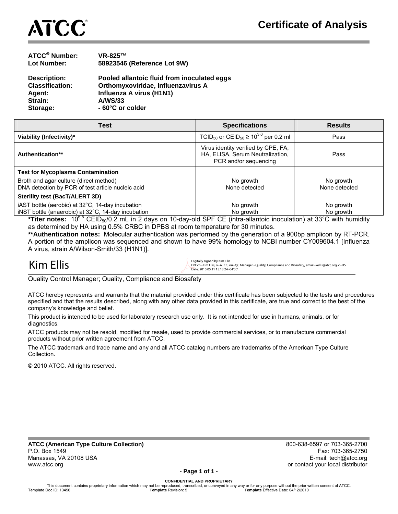

| <b>ATCC<sup>®</sup> Number:</b> | <b>VR-825™</b>                              |
|---------------------------------|---------------------------------------------|
| Lot Number:                     | 58923546 (Reference Lot 9W)                 |
| <b>Description:</b>             | Pooled allantoic fluid from inoculated eggs |
| <b>Classification:</b>          | Orthomyxoviridae, Influenzavirus A          |
| Agent:                          | Influenza A virus (H1N1)                    |
| Strain:                         | <b>A/WS/33</b>                              |
| Storage:                        | - 60°C or colder                            |
|                                 |                                             |

| <b>Test</b>                                                                                            | <b>Specifications</b>                                                                            | <b>Results</b>             |
|--------------------------------------------------------------------------------------------------------|--------------------------------------------------------------------------------------------------|----------------------------|
| Viability (Infectivity)*                                                                               | TCID <sub>50</sub> or CEID <sub>50</sub> $\geq 10^{3.0}$ per 0.2 ml                              | Pass                       |
| Authentication**                                                                                       | Virus identity verified by CPE, FA,<br>HA, ELISA, Serum Neutralization,<br>PCR and/or sequencing | Pass                       |
| <b>Test for Mycoplasma Contamination</b>                                                               |                                                                                                  |                            |
| Broth and agar culture (direct method)<br>DNA detection by PCR of test article nucleic acid            | No growth<br>None detected                                                                       | No growth<br>None detected |
| Sterility test (BacT/ALERT 3D)                                                                         |                                                                                                  |                            |
| iAST bottle (aerobic) at 32°C, 14-day incubation<br>iNST bottle (anaerobic) at 32°C, 14-day incubation | No growth<br>No growth                                                                           | No growth<br>No growth     |

**\*Titer notes:** 106.5 CEID50/0.2 mL in 2 days on 10-day-old SPF CE (intra-allantoic inoculation) at 33°C with humidity as determined by HA using 0.5% CRBC in DPBS at room temperature for 30 minutes.

**\*\*Authentication notes:** Molecular authentication was performed by the generation of a 900bp amplicon by RT-PCR. A portion of the amplicon was sequenced and shown to have 99% homology to NCBI number CY009604.1 [Influenza A virus, strain A/Wilson-Smith/33 (H1N1)].

## j

 $\mathsf{Kim}^{\text{Ellis}}$  Digitally signed by Kim Ellis entity, Cou=QC Manager - Quality, Compliance and Biosafety, email=kellis@atcc.org, c=US<br>Date: 2010.05.11 15:18:24 -04'00' Nate: 2010.05.11 15:18:24 -04'00'

Quality Control Manager; Quality, Compliance and Biosafety

ATCC hereby represents and warrants that the material provided under this certificate has been subjected to the tests and procedures specified and that the results described, along with any other data provided in this certificate, are true and correct to the best of the company's knowledge and belief.

This product is intended to be used for laboratory research use only. It is not intended for use in humans, animals, or for diagnostics.

ATCC products may not be resold, modified for resale, used to provide commercial services, or to manufacture commercial products without prior written agreement from ATCC.

The ATCC trademark and trade name and any and all ATCC catalog numbers are trademarks of the American Type Culture Collection.

© 2010 ATCC. All rights reserved.

**ATCC (American Type Culture Collection)** 800-638-6597 or 703-365-2700 P.O. Box 1549 Fax: 703-365-2750 Manassas, VA 20108 USA E-mail: tech@atcc.org in the state of the state of the state of the state of the state of the state of the state of the state of the state of the state of the state of the state of the state of the s www.atcc.org contact your local distributor

**- Page 1 of 1 -**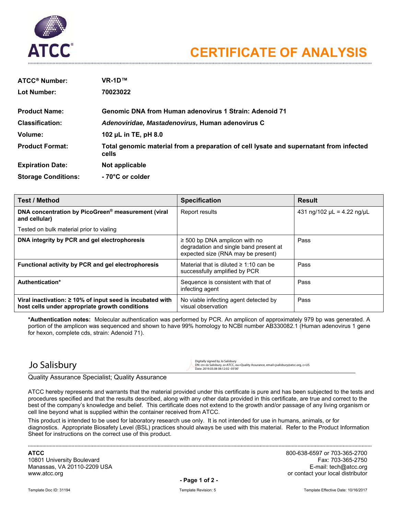

| <b>ATCC<sup>®</sup> Number:</b> | $VR-1D^{TM}$                                                                                    |
|---------------------------------|-------------------------------------------------------------------------------------------------|
| Lot Number:                     | 70023022                                                                                        |
| <b>Product Name:</b>            | <b>Genomic DNA from Human adenovirus 1 Strain: Adenoid 71</b>                                   |
| <b>Classification:</b>          | Adenoviridae, Mastadenovirus, Human adenovirus C                                                |
| Volume:                         | 102 $\mu$ L in TE, pH 8.0                                                                       |
| <b>Product Format:</b>          | Total genomic material from a preparation of cell lysate and supernatant from infected<br>cells |
| <b>Expiration Date:</b>         | Not applicable                                                                                  |
| <b>Storage Conditions:</b>      | - 70°C or colder                                                                                |

| <b>Test / Method</b>                                                                                              | <b>Specification</b>                                                                                               | <b>Result</b>                         |
|-------------------------------------------------------------------------------------------------------------------|--------------------------------------------------------------------------------------------------------------------|---------------------------------------|
| DNA concentration by PicoGreen <sup>®</sup> measurement (viral<br>and cellular)                                   | Report results                                                                                                     | 431 ng/102 $\mu$ L = 4.22 ng/ $\mu$ L |
| Tested on bulk material prior to vialing                                                                          |                                                                                                                    |                                       |
| DNA integrity by PCR and gel electrophoresis                                                                      | $\geq$ 500 bp DNA amplicon with no<br>degradation and single band present at<br>expected size (RNA may be present) | Pass                                  |
| Functional activity by PCR and gel electrophoresis                                                                | Material that is diluted $\geq 1:10$ can be<br>successfully amplified by PCR                                       | Pass                                  |
| Authentication*                                                                                                   | Sequence is consistent with that of<br>infecting agent                                                             | Pass                                  |
| Viral inactivation: $\geq 10\%$ of input seed is incubated with<br>host cells under appropriate growth conditions | No viable infecting agent detected by<br>visual observation                                                        | Pass                                  |

**\*Authentication notes:** Molecular authentication was performed by PCR. An amplicon of approximately 979 bp was generated. A portion of the amplicon was sequenced and shown to have 99% homology to NCBI number AB330082.1 (Human adenovirus 1 gene for hexon, complete cds, strain: Adenoid 71).

### Jo Salisbury

 $\mathrm{J\circlearrowleft}_{\mathrm{a}}$ Digitally signed by Jo Salisbury<br>DN: cn=Jo Salisbury, o=ATCC, ou=Quality Assurance, email=jsalisbury@atcc.org, c=US<br>Date: 2019.03.08 08:12:02 -05'00'

### Quality Assurance Specialist; Quality Assurance

ATCC hereby represents and warrants that the material provided under this certificate is pure and has been subjected to the tests and procedures specified and that the results described, along with any other data provided in this certificate, are true and correct to the best of the company's knowledge and belief. This certificate does not extend to the growth and/or passage of any living organism or cell line beyond what is supplied within the container received from ATCC.

This product is intended to be used for laboratory research use only. It is not intended for use in humans, animals, or for diagnostics. Appropriate Biosafety Level (BSL) practices should always be used with this material. Refer to the Product Information Sheet for instructions on the correct use of this product.

10801 University Boulevard Manassas, VA 20110-2209 USA E-mail: tech@atcc.org **E-mail: tech@atcc.org** exercise the exercise of the exercise of www.atcc.org **or contact your local distributor**  $\sim$ 

**ATCC** 800-638-6597 or 703-365-2700

**- Page 1 of 2 -**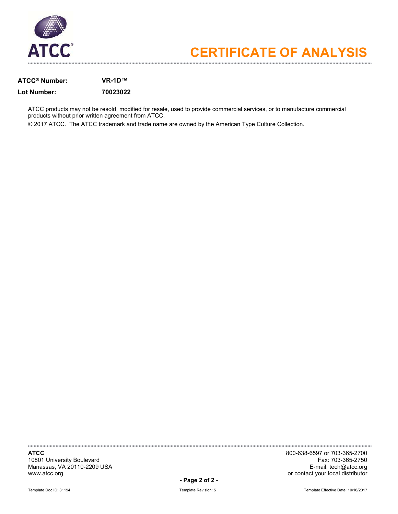

### **ATCC Number: VR-1D™**

### **Lot Number: 70023022**

ATCC products may not be resold, modified for resale, used to provide commercial services, or to manufacture commercial products without prior written agreement from ATCC.

© 2017 ATCC. The ATCC trademark and trade name are owned by the American Type Culture Collection.

**ATCC** 800-638-6597 or 703-365-2700 10801 University Boulevard Fax: 703-365-2750 Manassas, VA 20110-2209 USA<br>www.atcc.org

**- Page 2 of 2 -** 

Template Doc ID: 31194 Template Revision: 5 Template Revision: 5 Template Revision: 5 Template Effective Date: 10/16/2017

or contact your local distributor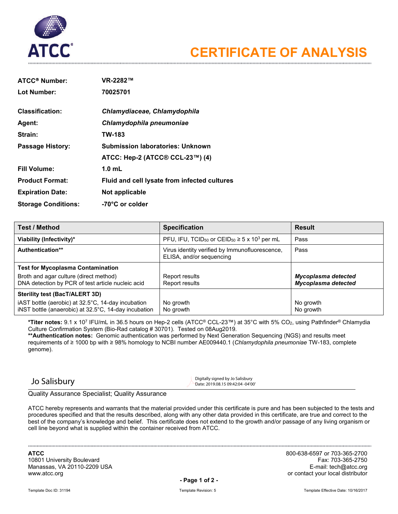

| ATCC <sup>®</sup> Number:  | VR-2282™                                     |
|----------------------------|----------------------------------------------|
| Lot Number:                | 70025701                                     |
|                            |                                              |
| <b>Classification:</b>     | Chlamydiaceae, Chlamydophila                 |
| <b>Agent:</b>              | Chlamydophila pneumoniae                     |
| Strain:                    | TW-183                                       |
| <b>Passage History:</b>    | <b>Submission laboratories: Unknown</b>      |
|                            | ATCC: Hep-2 (ATCC® CCL-23™) (4)              |
| <b>Fill Volume:</b>        | $1.0$ mL                                     |
| <b>Product Format:</b>     | Fluid and cell lysate from infected cultures |
| <b>Expiration Date:</b>    | Not applicable                               |
| <b>Storage Conditions:</b> | -70°C or colder                              |

| <b>Test / Method</b>                                                                                       | <b>Specification</b>                                                                 | <b>Result</b>                              |
|------------------------------------------------------------------------------------------------------------|--------------------------------------------------------------------------------------|--------------------------------------------|
| Viability (Infectivity)*                                                                                   | PFU, IFU, TCID <sub>50</sub> or CEID <sub>50</sub> $\geq$ 5 x 10 <sup>3</sup> per mL | Pass                                       |
| Authentication**                                                                                           | Virus identity verified by Immunofluorescence,<br>ELISA, and/or sequencing           | Pass                                       |
| <b>Test for Mycoplasma Contamination</b>                                                                   |                                                                                      |                                            |
| Broth and agar culture (direct method)<br>DNA detection by PCR of test article nucleic acid                | Report results<br>Report results                                                     | Mycoplasma detected<br>Mycoplasma detected |
| Sterility test (BacT/ALERT 3D)                                                                             |                                                                                      |                                            |
| iAST bottle (aerobic) at 32.5°C, 14-day incubation<br>iNST bottle (anaerobic) at 32.5°C, 14-day incubation | No growth<br>No growth                                                               | No growth<br>No growth                     |

**\*Titer notes:** 9.1 x 107 IFU/mL in 36.5 hours on Hep-2 cells (ATCC® CCL-23™) at 35°C with 5% CO2, using Pathfinder® Chlamydia Culture Confirmation System (Bio-Rad catalog # 30701). Tested on 08Aug2019.

**\*\*Authentication notes:** Genomic authentication was performed by Next Generation Sequencing (NGS) and results meet requirements of ≥ 1000 bp with ≥ 98% homology to NCBI number AE009440.1 (*Chlamydophila pneumoniae* TW-183, complete genome).

 $\sum_{\text{Digit} \atop \text{Date} \geq 2019.08.15.09 \cdot 42.04 \cdot 0.4000}$ Date: 2019.08.15 09:42:04 -04'00'

Quality Assurance Specialist; Quality Assurance

ATCC hereby represents and warrants that the material provided under this certificate is pure and has been subjected to the tests and procedures specified and that the results described, along with any other data provided in this certificate, are true and correct to the best of the company's knowledge and belief. This certificate does not extend to the growth and/or passage of any living organism or cell line beyond what is supplied within the container received from ATCC.

**ATCC** 800-638-6597 or 703-365-2700 10801 University Boulevard Fax: 703-365-2750 Manassas, VA 20110-2209 USA<br>www.atcc.org

or contact your local distributor

**- Page 1 of 2 -**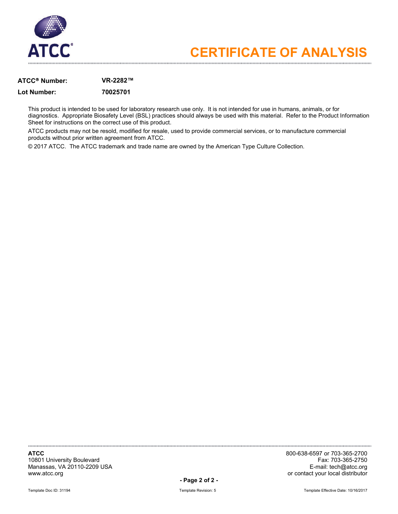

### **ATCC Number: VR-2282™**

### **Lot Number: 70025701**

This product is intended to be used for laboratory research use only. It is not intended for use in humans, animals, or for diagnostics. Appropriate Biosafety Level (BSL) practices should always be used with this material. Refer to the Product Information Sheet for instructions on the correct use of this product.

ATCC products may not be resold, modified for resale, used to provide commercial services, or to manufacture commercial products without prior written agreement from ATCC.

© 2017 ATCC. The ATCC trademark and trade name are owned by the American Type Culture Collection.

10801 University Boulevard Fax: 703-365-2750 Manassas, VA 20110-2209 USA<br>www.atcc.org

**ATCC** 800-638-6597 or 703-365-2700 or contact your local distributor

**- Page 2 of 2 -**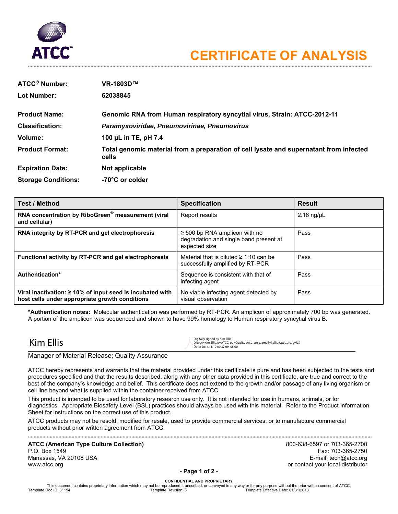

| <b>ATCC<sup>®</sup> Number:</b> | VR-1803D™                                                                                       |
|---------------------------------|-------------------------------------------------------------------------------------------------|
| Lot Number:                     | 62038845                                                                                        |
| <b>Product Name:</b>            | <b>Genomic RNA from Human respiratory syncytial virus, Strain: ATCC-2012-11</b>                 |
| <b>Classification:</b>          | Paramyxoviridae, Pneumovirinae, Pneumovirus                                                     |
| Volume:                         | 100 µL in TE, pH 7.4                                                                            |
| <b>Product Format:</b>          | Total genomic material from a preparation of cell lysate and supernatant from infected<br>cells |
| <b>Expiration Date:</b>         | Not applicable                                                                                  |
| <b>Storage Conditions:</b>      | -70°C or colder                                                                                 |

| <b>Test / Method</b>                                                                                              | <b>Specification</b>                                                                          | <b>Result</b>      |
|-------------------------------------------------------------------------------------------------------------------|-----------------------------------------------------------------------------------------------|--------------------|
| RNA concentration by RiboGreen® measurement (viral<br>and cellular)                                               | Report results                                                                                | $2.16$ ng/ $\mu$ L |
| RNA integrity by RT-PCR and gel electrophoresis                                                                   | $\geq$ 500 bp RNA amplicon with no<br>degradation and single band present at<br>expected size | Pass               |
| Functional activity by RT-PCR and gel electrophoresis                                                             | Material that is diluted $\geq 1:10$ can be<br>successfully amplified by RT-PCR               | Pass               |
| Authentication*                                                                                                   | Sequence is consistent with that of<br>infecting agent                                        | Pass               |
| Viral inactivation: $\geq 10\%$ of input seed is incubated with<br>host cells under appropriate growth conditions | No viable infecting agent detected by<br>visual observation                                   | Pass               |

**\*Authentication notes:** Molecular authentication was performed by RT-PCR. An amplicon of approximately 700 bp was generated. A portion of the amplicon was sequenced and shown to have 99% homology to Human respiratory syncytial virus B.

 $\text{Kim Ellis}\ \text{Digitally signed by Kim Ellis}\ \text{Digitally }\ \text{M. C.} \ \text{Digitally 1.50 and 504.} \ \text{Digitally 1.51.} \ \text{D. C.} \ \text{D.} \ \text{D.} \ \text{D.} \ \text{D.} \ \text{D.} \ \text{D.} \ \text{D.} \ \text{D.} \ \text{D.} \ \text{D.} \ \text{D.} \ \text{D.} \ \text{D.} \ \text{D.} \ \text{D.} \ \text{D.} \ \text{D.} \ \text{D.} \ \text{D.} \ \text{D.} \ \text{D$ 

### Manager of Material Release; Quality Assurance

ATCC hereby represents and warrants that the material provided under this certificate is pure and has been subjected to the tests and procedures specified and that the results described, along with any other data provided in this certificate, are true and correct to the best of the company's knowledge and belief. This certificate does not extend to the growth and/or passage of any living organism or cell line beyond what is supplied within the container received from ATCC.

This product is intended to be used for laboratory research use only. It is not intended for use in humans, animals, or for diagnostics. Appropriate Biosafety Level (BSL) practices should always be used with this material. Refer to the Product Information Sheet for instructions on the correct use of this product.

ATCC products may not be resold, modified for resale, used to provide commercial services, or to manufacture commercial products without prior written agreement from ATCC.

**ATCC (American Type Culture Collection)** 800-638-6597 or 703-365-2700 P.O. Box 1549 Fax: 703-365-2750 Manassas, VA 20108 USA E-mail: tech@atcc.org in the state of the state of the state of the state of the state of the state of the state of the state of the state of the state of the state of the state of the state of the s www.atcc.org contact your local distributor

### **- Page 1 of 2 -**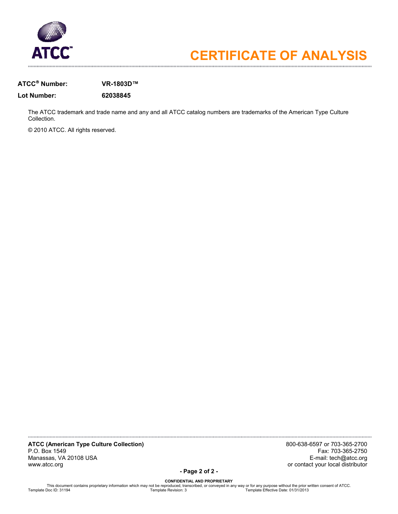

### **ATCC Number: VR-1803D™**

**Lot Number: 62038845** 

The ATCC trademark and trade name and any and all ATCC catalog numbers are trademarks of the American Type Culture Collection.

© 2010 ATCC. All rights reserved.

**ATCC (American Type Culture Collection)** 800-638-6597 or 703-365-2700 Manassas, VA 20108 USA<br>www.atcc.org

Fax: 703-365-2750<br>E-mail: tech@atcc.org or contact your local distributor

**- Page 2 of 2 -**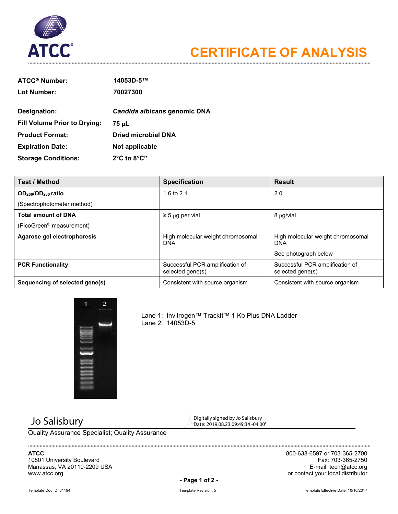

| <b>ATCC® Number:</b>                | 14053D-5™                       |
|-------------------------------------|---------------------------------|
| Lot Number:                         | 70027300                        |
| Designation:                        | Candida albicans genomic DNA    |
| <b>Fill Volume Prior to Drying:</b> | 75 սԼ                           |
| <b>Product Format:</b>              | Dried microbial DNA             |
| <b>Expiration Date:</b>             | Not applicable                  |
| <b>Storage Conditions:</b>          | $2^{\circ}$ C to $8^{\circ}$ C" |

| <b>Test / Method</b>                       | <b>Specification</b>                                | <b>Result</b>                                       |
|--------------------------------------------|-----------------------------------------------------|-----------------------------------------------------|
| OD <sub>260</sub> /OD <sub>280</sub> ratio | 1.6 to $2.1$                                        | 2.0                                                 |
| (Spectrophotometer method)                 |                                                     |                                                     |
| <b>Total amount of DNA</b>                 | $\geq$ 5 µg per vial                                | 8 μg/vial                                           |
| (PicoGreen <sup>®</sup> measurement)       |                                                     |                                                     |
| Agarose gel electrophoresis                | High molecular weight chromosomal<br><b>DNA</b>     | High molecular weight chromosomal<br><b>DNA</b>     |
|                                            |                                                     | See photograph below                                |
| <b>PCR Functionality</b>                   | Successful PCR amplification of<br>selected gene(s) | Successful PCR amplification of<br>selected gene(s) |
| Sequencing of selected gene(s)             | Consistent with source organism                     | Consistent with source organism                     |



Lane 1: Invitrogen™ TrackIt™ 1 Kb Plus DNA Ladder Lane 2: 14053D-5

 $\sum_{\text{Dajitally signed by Jo Salisbury}}$  Jo Salisbury Date: 2019.08.23 09:49:34 -04'00'

Quality Assurance Specialist; Quality Assurance

# Manassas, VA 20110-2209 USA<br>www.atcc.org

**ATCC** 800-638-6597 or 703-365-2700 10801 University Boulevard Fax: 703-365-2750 or contact your local distributor

**- Page 1 of 2 -**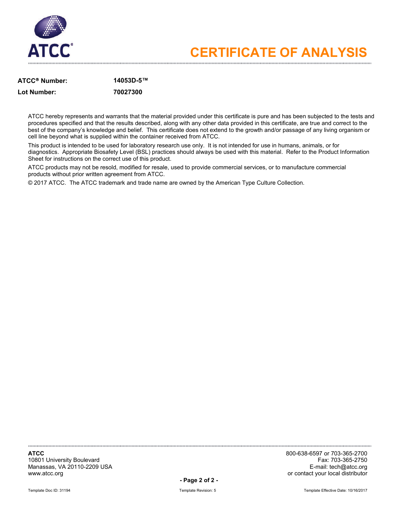

### **ATCC Number: 14053D-5™ Lot Number: 70027300**

ATCC hereby represents and warrants that the material provided under this certificate is pure and has been subjected to the tests and procedures specified and that the results described, along with any other data provided in this certificate, are true and correct to the best of the company's knowledge and belief. This certificate does not extend to the growth and/or passage of any living organism or cell line beyond what is supplied within the container received from ATCC.

This product is intended to be used for laboratory research use only. It is not intended for use in humans, animals, or for diagnostics. Appropriate Biosafety Level (BSL) practices should always be used with this material. Refer to the Product Information Sheet for instructions on the correct use of this product.

ATCC products may not be resold, modified for resale, used to provide commercial services, or to manufacture commercial products without prior written agreement from ATCC.

© 2017 ATCC. The ATCC trademark and trade name are owned by the American Type Culture Collection.

10801 University Boulevard Fax: 703-365-2750 Manassas, VA 20110-2209 USA<br>www.atcc.org

**ATCC** 800-638-6597 or 703-365-2700 or contact your local distributor

**- Page 2 of 2 -**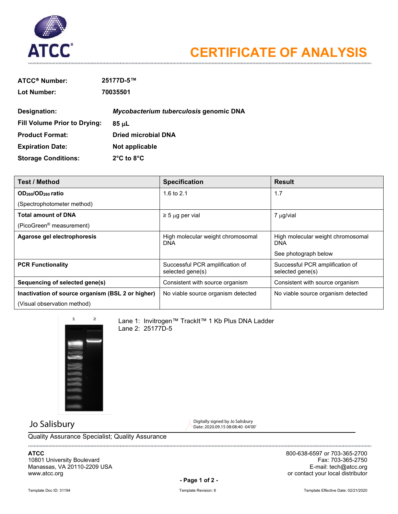

| <b>ATCC<sup>®</sup> Number:</b>     | 25177D-5™                              |
|-------------------------------------|----------------------------------------|
| Lot Number:                         | 70035501                               |
| Designation:                        | Mycobacterium tuberculosis genomic DNA |
| <b>Fill Volume Prior to Drying:</b> | 85 µL                                  |
| <b>Product Format:</b>              | Dried microbial DNA                    |
| <b>Expiration Date:</b>             | Not applicable                         |
| <b>Storage Conditions:</b>          | $2^{\circ}$ C to $8^{\circ}$ C         |

| <b>Test / Method</b>                              | <b>Specification</b>                                | <b>Result</b>                                       |
|---------------------------------------------------|-----------------------------------------------------|-----------------------------------------------------|
| OD <sub>260</sub> /OD <sub>280</sub> ratio        | 1.6 to $2.1$                                        | 1.7                                                 |
| (Spectrophotometer method)                        |                                                     |                                                     |
| <b>Total amount of DNA</b>                        | $\geq$ 5 µg per vial                                | 7 µg/vial                                           |
| (PicoGreen <sup>®</sup> measurement)              |                                                     |                                                     |
| Agarose gel electrophoresis                       | High molecular weight chromosomal<br>DNA            | High molecular weight chromosomal<br><b>DNA</b>     |
|                                                   |                                                     | See photograph below                                |
| <b>PCR Functionality</b>                          | Successful PCR amplification of<br>selected gene(s) | Successful PCR amplification of<br>selected gene(s) |
| Sequencing of selected gene(s)                    | Consistent with source organism                     | Consistent with source organism                     |
| Inactivation of source organism (BSL 2 or higher) | No viable source organism detected                  | No viable source organism detected                  |
| (Visual observation method)                       |                                                     |                                                     |



Lane 1: Invitrogen™ TrackIt™ 1 Kb Plus DNA Ladder Lane 2: 25177D-5

 $\bigcup$   $\bigcup$  Digitally signed by Jo Salisbury Digitally signed by Jo Salisbury Date: 2020.09.15 08:08:40 -04'00'

Quality Assurance Specialist; Quality Assurance

10801 University Boulevard Fax: 703-365-2750 Manassas, VA 20110-2209 USA<br>www.atcc.org

**ATCC** 800-638-6597 or 703-365-2700 or contact your local distributor

**- Page 1 of 2 -**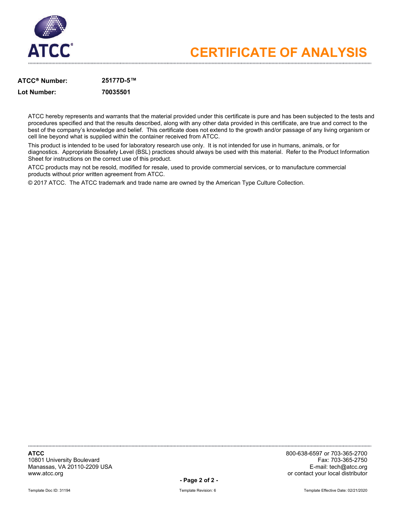

### **ATCC Number: 25177D-5™**

**Lot Number: 70035501**

ATCC hereby represents and warrants that the material provided under this certificate is pure and has been subjected to the tests and procedures specified and that the results described, along with any other data provided in this certificate, are true and correct to the best of the company's knowledge and belief. This certificate does not extend to the growth and/or passage of any living organism or cell line beyond what is supplied within the container received from ATCC.

This product is intended to be used for laboratory research use only. It is not intended for use in humans, animals, or for diagnostics. Appropriate Biosafety Level (BSL) practices should always be used with this material. Refer to the Product Information Sheet for instructions on the correct use of this product.

ATCC products may not be resold, modified for resale, used to provide commercial services, or to manufacture commercial products without prior written agreement from ATCC.

© 2017 ATCC. The ATCC trademark and trade name are owned by the American Type Culture Collection.

10801 University Boulevard Fax: 703-365-2750 Manassas, VA 20110-2209 USA<br>www.atcc.org

**ATCC** 800-638-6597 or 703-365-2700 or contact your local distributor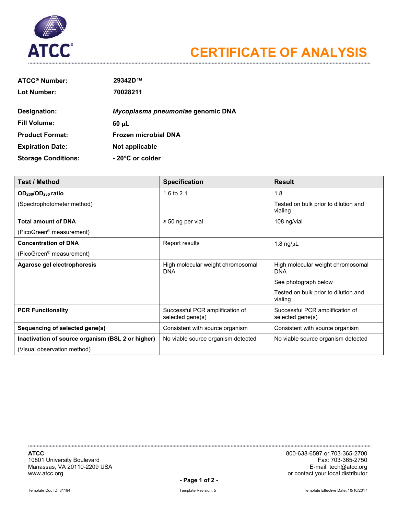

| <b>ATCC® Number:</b>       | 29342D™                           |
|----------------------------|-----------------------------------|
| Lot Number:                | 70028211                          |
| Designation:               | Mycoplasma pneumoniae genomic DNA |
| <b>Fill Volume:</b>        | $60 \mu L$                        |
| <b>Product Format:</b>     | <b>Frozen microbial DNA</b>       |
| <b>Expiration Date:</b>    | Not applicable                    |
| <b>Storage Conditions:</b> | - 20°C or colder                  |

| <b>Test / Method</b>                              | <b>Specification</b>                                | <b>Result</b>                                       |
|---------------------------------------------------|-----------------------------------------------------|-----------------------------------------------------|
| OD <sub>260</sub> /OD <sub>280</sub> ratio        | 1.6 to $2.1$                                        | 1.8                                                 |
| (Spectrophotometer method)                        |                                                     | Tested on bulk prior to dilution and<br>vialing     |
| <b>Total amount of DNA</b>                        | $\geq$ 50 ng per vial                               | 108 ng/vial                                         |
| (PicoGreen <sup>®</sup> measurement)              |                                                     |                                                     |
| <b>Concentration of DNA</b>                       | Report results                                      | 1.8 $ng/\mu L$                                      |
| (PicoGreen <sup>®</sup> measurement)              |                                                     |                                                     |
| Agarose gel electrophoresis                       | High molecular weight chromosomal<br><b>DNA</b>     | High molecular weight chromosomal<br><b>DNA</b>     |
|                                                   |                                                     | See photograph below                                |
|                                                   |                                                     | Tested on bulk prior to dilution and<br>vialing     |
| <b>PCR Functionality</b>                          | Successful PCR amplification of<br>selected gene(s) | Successful PCR amplification of<br>selected gene(s) |
| Sequencing of selected gene(s)                    | Consistent with source organism                     | Consistent with source organism                     |
| Inactivation of source organism (BSL 2 or higher) | No viable source organism detected                  | No viable source organism detected                  |
| (Visual observation method)                       |                                                     |                                                     |

10801 University Boulevard Fax: 703-365-2750 Manassas, VA 20110-2209 USA<br>www.atcc.org

**ATCC** 800-638-6597 or 703-365-2700 or contact your local distributor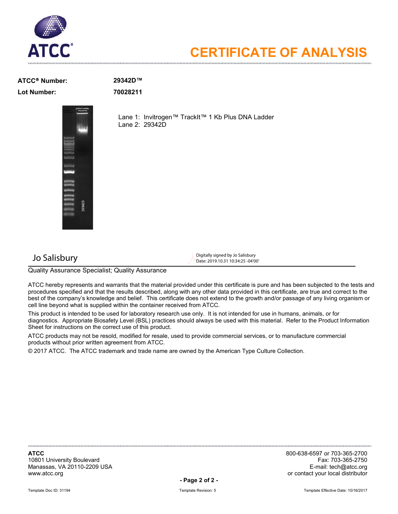

### **ATCC Number: 29342D™ Lot Number: 70028211**



Lane 1: Invitrogen™ TrackIt™ 1 Kb Plus DNA Ladder Lane 2: 29342D

 $\bigcup$  Digitally signed by Jo Salisbury Digitally signed by Jo Salisbury Digitally signed by Jo Salisbury Date: 2019.10.31 10:34:25 -04'00'

Quality Assurance Specialist; Quality Assurance

ATCC hereby represents and warrants that the material provided under this certificate is pure and has been subjected to the tests and procedures specified and that the results described, along with any other data provided in this certificate, are true and correct to the best of the company's knowledge and belief. This certificate does not extend to the growth and/or passage of any living organism or cell line beyond what is supplied within the container received from ATCC.

This product is intended to be used for laboratory research use only. It is not intended for use in humans, animals, or for diagnostics. Appropriate Biosafety Level (BSL) practices should always be used with this material. Refer to the Product Information Sheet for instructions on the correct use of this product.

ATCC products may not be resold, modified for resale, used to provide commercial services, or to manufacture commercial products without prior written agreement from ATCC.

© 2017 ATCC. The ATCC trademark and trade name are owned by the American Type Culture Collection.

10801 University Boulevard Fax: 703-365-2750 Manassas, VA 20110-2209 USA<br>www.atcc.org

**ATCC** 800-638-6597 or 703-365-2700 or contact your local distributor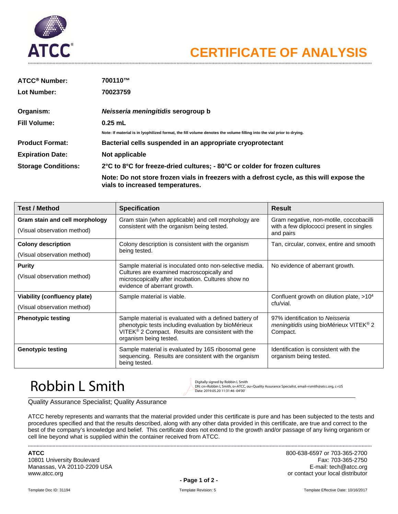

| <b>ATCC<sup>®</sup> Number:</b> | 700110™                                                                                                                       |
|---------------------------------|-------------------------------------------------------------------------------------------------------------------------------|
| Lot Number:                     | 70023759                                                                                                                      |
| Organism:                       | Neisseria meningitidis serogroup b                                                                                            |
| <b>Fill Volume:</b>             | $0.25$ mL                                                                                                                     |
|                                 | Note: If material is in Iyophilized format, the fill volume denotes the volume filling into the vial prior to drying.         |
| <b>Product Format:</b>          | Bacterial cells suspended in an appropriate cryoprotectant                                                                    |
| <b>Expiration Date:</b>         | Not applicable                                                                                                                |
| <b>Storage Conditions:</b>      | 2°C to 8°C for freeze-dried cultures; - 80°C or colder for frozen cultures                                                    |
|                                 | Note: Do not store frozen vials in freezers with a defrost cycle, as this will expose the<br>vials to increased temperatures. |

| <b>Test / Method</b>                                          | <b>Specification</b>                                                                                                                                                                         | <b>Result</b>                                                                                            |
|---------------------------------------------------------------|----------------------------------------------------------------------------------------------------------------------------------------------------------------------------------------------|----------------------------------------------------------------------------------------------------------|
| Gram stain and cell morphology<br>(Visual observation method) | Gram stain (when applicable) and cell morphology are<br>consistent with the organism being tested.                                                                                           | Gram negative, non-motile, coccobacilli<br>with a few diplococci present in singles<br>and pairs         |
| <b>Colony description</b><br>(Visual observation method)      | Colony description is consistent with the organism<br>being tested.                                                                                                                          | Tan, circular, convex, entire and smooth                                                                 |
| <b>Purity</b><br>(Visual observation method)                  | Sample material is inoculated onto non-selective media.<br>Cultures are examined macroscopically and<br>microscopically after incubation. Cultures show no<br>evidence of aberrant growth.   | No evidence of aberrant growth.                                                                          |
| Viability (confluency plate)<br>(Visual observation method)   | Sample material is viable.                                                                                                                                                                   | Confluent growth on dilution plate, $>104$<br>cfu/vial.                                                  |
| <b>Phenotypic testing</b>                                     | Sample material is evaluated with a defined battery of<br>phenotypic tests including evaluation by bioMérieux<br>VITEK® 2 Compact. Results are consistent with the<br>organism being tested. | 97% identification to Neisseria<br><i>meningitidis</i> using bioMérieux VITEK <sup>®</sup> 2<br>Compact. |
| <b>Genotypic testing</b>                                      | Sample material is evaluated by 16S ribosomal gene<br>sequencing. Results are consistent with the organism<br>being tested.                                                                  | Identification is consistent with the<br>organism being tested.                                          |

### $\mathsf{Robbin}$  L Smith Digitally signed by Robbin L Smith  $\mathsf{Robbin}$  Digitally signed by Robbin L Smith

DN: cn=Robbin L Smith, o=ATCC, ou=Quality Assurance Specialist, email=rsmith@atcc.org, c=US Date: 2019.05.20 11:31:46 -04'00'

Quality Assurance Specialist; Quality Assurance

ATCC hereby represents and warrants that the material provided under this certificate is pure and has been subjected to the tests and procedures specified and that the results described, along with any other data provided in this certificate, are true and correct to the best of the company's knowledge and belief. This certificate does not extend to the growth and/or passage of any living organism or cell line beyond what is supplied within the container received from ATCC.

10801 University Boulevard Manassas, VA 20110-2209 USA E-mail: tech@atcc.org www.atcc.org **or contact your local distributor or contact your local distributor** 

**ATCC** 800-638-6597 or 703-365-2700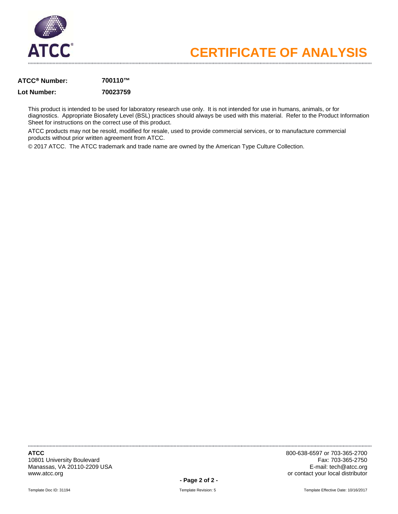

### **ATCC Number: 700110™**

### **Lot Number: 70023759**

This product is intended to be used for laboratory research use only. It is not intended for use in humans, animals, or for diagnostics. Appropriate Biosafety Level (BSL) practices should always be used with this material. Refer to the Product Information Sheet for instructions on the correct use of this product.

ATCC products may not be resold, modified for resale, used to provide commercial services, or to manufacture commercial products without prior written agreement from ATCC.

© 2017 ATCC. The ATCC trademark and trade name are owned by the American Type Culture Collection.

10801 University Boulevard Manassas, VA 20110-2209 USA E-mail: tech@atcc.org www.atcc.org **or contact your local distributor or contact your local distributor** 

**ATCC** 800-638-6597 or 703-365-2700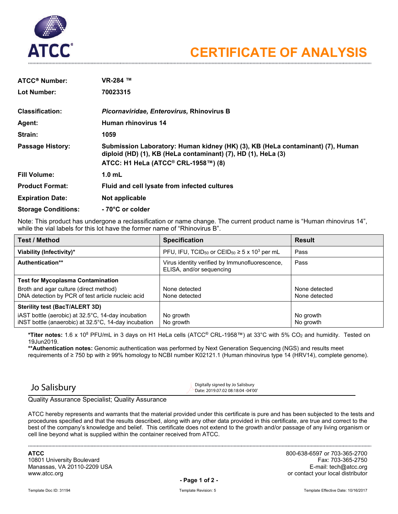

| <b>ATCC<sup>®</sup> Number:</b> | VR-284 ™                                                                                                                                                                               |
|---------------------------------|----------------------------------------------------------------------------------------------------------------------------------------------------------------------------------------|
| Lot Number:                     | 70023315                                                                                                                                                                               |
| <b>Classification:</b>          | Picornaviridae, Enterovirus, Rhinovirus B                                                                                                                                              |
| Agent:                          | Human rhinovirus 14                                                                                                                                                                    |
| Strain:                         | 1059                                                                                                                                                                                   |
| <b>Passage History:</b>         | Submission Laboratory: Human kidney (HK) (3), KB (HeLa contaminant) (7), Human<br>diploid (HD) (1), KB (HeLa contaminant) (7), HD (1), HeLa (3)<br>ATCC: H1 HeLa (ATCC® CRL-1958™) (8) |
| <b>Fill Volume:</b>             | $1.0$ mL                                                                                                                                                                               |
| <b>Product Format:</b>          | Fluid and cell lysate from infected cultures                                                                                                                                           |
| <b>Expiration Date:</b>         | Not applicable                                                                                                                                                                         |
| <b>Storage Conditions:</b>      | - 70°C or colder                                                                                                                                                                       |

Note: This product has undergone a reclassification or name change. The current product name is "Human rhinovirus 14", while the vial labels for this lot have the former name of "Rhinovirus B".

| <b>Test / Method</b>                                                                                       | <b>Specification</b>                                                                 | <b>Result</b>                  |
|------------------------------------------------------------------------------------------------------------|--------------------------------------------------------------------------------------|--------------------------------|
| Viability (Infectivity)*                                                                                   | PFU, IFU, TCID <sub>50</sub> or CEID <sub>50</sub> $\geq$ 5 x 10 <sup>3</sup> per mL | Pass                           |
| <b>Authentication**</b>                                                                                    | Virus identity verified by Immunofluorescence,<br>ELISA, and/or sequencing           | Pass                           |
| <b>Test for Mycoplasma Contamination</b>                                                                   |                                                                                      |                                |
| Broth and agar culture (direct method)<br>DNA detection by PCR of test article nucleic acid                | None detected<br>None detected                                                       | None detected<br>None detected |
| Sterility test (BacT/ALERT 3D)                                                                             |                                                                                      |                                |
| iAST bottle (aerobic) at 32.5°C, 14-day incubation<br>iNST bottle (anaerobic) at 32.5°C, 14-day incubation | No growth<br>No growth                                                               | No growth<br>No growth         |

**\*Titer notes:** 1.6 x 108 PFU/mL in 3 days on H1 HeLa cells (ATCC® CRL-1958™) at 33°C with 5% CO2 and humidity. Tested on 19Jun2019.

**\*\*Authentication notes:** Genomic authentication was performed by Next Generation Sequencing (NGS) and results meet requirements of ≥ 750 bp with ≥ 99% homology to NCBI number K02121.1 (Human rhinovirus type 14 (HRV14), complete genome).

 $\bigcup$  Salisbury Digitally signed by Jo Salisbury Digitally signed by Jo Salisbury Date: 2019.07.02 08:18:04 -04'00'

Quality Assurance Specialist; Quality Assurance

ATCC hereby represents and warrants that the material provided under this certificate is pure and has been subjected to the tests and procedures specified and that the results described, along with any other data provided in this certificate, are true and correct to the best of the company's knowledge and belief. This certificate does not extend to the growth and/or passage of any living organism or cell line beyond what is supplied within the container received from ATCC.

10801 University Boulevard Fax: 703-365-2750 Manassas, VA 20110-2209 USA<br>www.atcc.org

**ATCC** 800-638-6597 or 703-365-2700 or contact your local distributor

**- Page 1 of 2 -**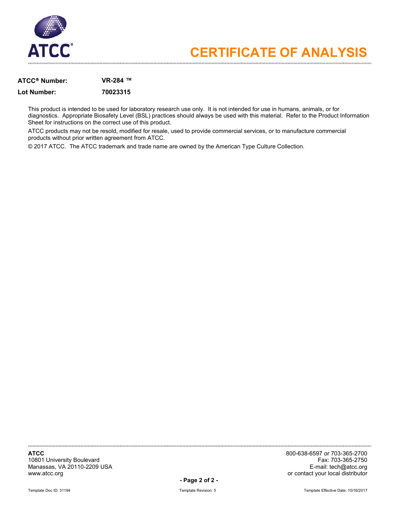

### **ATCC Number: VR-284 ™**

### **Lot Number: 70023315**

This product is intended to be used for laboratory research use only. It is not intended for use in humans, animals, or for diagnostics. Appropriate Biosafety Level (BSL) practices should always be used with this material. Refer to the Product Information Sheet for instructions on the correct use of this product.

ATCC products may not be resold, modified for resale, used to provide commercial services, or to manufacture commercial products without prior written agreement from ATCC.

© 2017 ATCC. The ATCC trademark and trade name are owned by the American Type Culture Collection.

10801 University Boulevard Fax: 703-365-2750 Manassas, VA 20110-2209 USA<br>www.atcc.org

**ATCC** 800-638-6597 or 703-365-2700 or contact your local distributor

**- Page 2 of 2 -**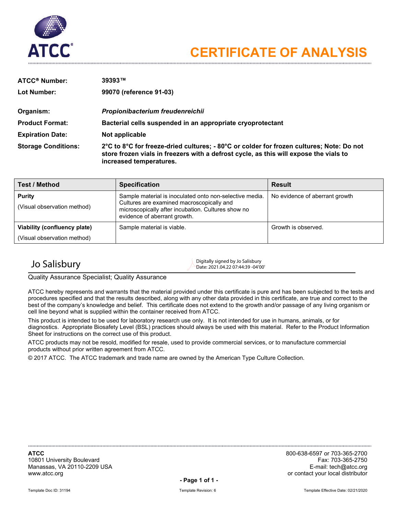

| <b>ATCC<sup>®</sup> Number:</b> | 39393™                                                                                                                                                                                                       |
|---------------------------------|--------------------------------------------------------------------------------------------------------------------------------------------------------------------------------------------------------------|
| Lot Number:                     | 99070 (reference 91-03)                                                                                                                                                                                      |
| Organism:                       | Propionibacterium freudenreichii                                                                                                                                                                             |
| <b>Product Format:</b>          | Bacterial cells suspended in an appropriate cryoprotectant                                                                                                                                                   |
| <b>Expiration Date:</b>         | Not applicable                                                                                                                                                                                               |
| <b>Storage Conditions:</b>      | 2°C to 8°C for freeze-dried cultures; - 80°C or colder for frozen cultures; Note: Do not<br>store frozen vials in freezers with a defrost cycle, as this will expose the vials to<br>increased temperatures. |

| <b>Test / Method</b>                         | <b>Specification</b>                                                                                                                                                                       | <b>Result</b>                  |
|----------------------------------------------|--------------------------------------------------------------------------------------------------------------------------------------------------------------------------------------------|--------------------------------|
| <b>Purity</b><br>(Visual observation method) | Sample material is inoculated onto non-selective media.<br>Cultures are examined macroscopically and<br>microscopically after incubation. Cultures show no<br>evidence of aberrant growth. | No evidence of aberrant growth |
| Viability (confluency plate)                 | Sample material is viable.                                                                                                                                                                 | Growth is observed.            |
| (Visual observation method)                  |                                                                                                                                                                                            |                                |

 $J$ o Salisbury Digitally signed by Jo Salisbury Digitally signed by Jo Salisbury Date: 2021.04.22 07:44:39 -04'00'

Quality Assurance Specialist; Quality Assurance

ATCC hereby represents and warrants that the material provided under this certificate is pure and has been subjected to the tests and procedures specified and that the results described, along with any other data provided in this certificate, are true and correct to the best of the company's knowledge and belief. This certificate does not extend to the growth and/or passage of any living organism or cell line beyond what is supplied within the container received from ATCC.

This product is intended to be used for laboratory research use only. It is not intended for use in humans, animals, or for diagnostics. Appropriate Biosafety Level (BSL) practices should always be used with this material. Refer to the Product Information Sheet for instructions on the correct use of this product.

ATCC products may not be resold, modified for resale, used to provide commercial services, or to manufacture commercial products without prior written agreement from ATCC.

© 2017 ATCC. The ATCC trademark and trade name are owned by the American Type Culture Collection.

10801 University Boulevard Fax: 703-365-2750 Manassas, VA 20110-2209 USA<br>www.atcc.org

**ATCC** 800-638-6597 or 703-365-2700 or contact your local distributor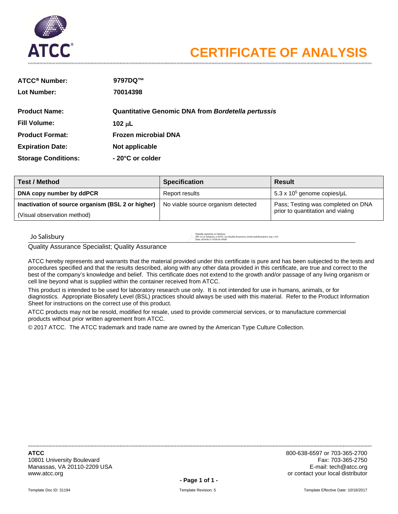

| <b>ATCC® Number:</b>       | 9797DQ™                                            |
|----------------------------|----------------------------------------------------|
| Lot Number:                | 70014398                                           |
| <b>Product Name:</b>       | Quantitative Genomic DNA from Bordetella pertussis |
| <b>Fill Volume:</b>        | 102 $\mu$ L                                        |
| <b>Product Format:</b>     | <b>Frozen microbial DNA</b>                        |
| <b>Expiration Date:</b>    | Not applicable                                     |
| <b>Storage Conditions:</b> | - 20°C or colder                                   |

| <b>Test / Method</b>                              | <b>Specification</b>               | <b>Result</b>                      |  |
|---------------------------------------------------|------------------------------------|------------------------------------|--|
| DNA copy number by ddPCR                          | Report results                     | 5.3 x $105$ genome copies/ $\mu$ L |  |
| Inactivation of source organism (BSL 2 or higher) | No viable source organism detected | Pass; Testing was completed on DNA |  |
| (Visual observation method)                       |                                    | prior to quantitation and vialing  |  |

### $\log_{10\text{m/s}^{\text{optimal}}}\left|\frac{\text{OPE}(\text{Js})}{\text{Date 2018.06.15} \cdot \text{DSE} \cdot \text{DSE} \cdot \text{DSE}}\right|$

DN: cn=Jo Salisbury, o=ATCC, ou=Quality Assurance, email=jsalisbury@atcc.org, c=US Date: 2018.06.15 10:30:59 -04'00'

Quality Assurance Specialist; Quality Assurance

ATCC hereby represents and warrants that the material provided under this certificate is pure and has been subjected to the tests and procedures specified and that the results described, along with any other data provided in this certificate, are true and correct to the best of the company's knowledge and belief. This certificate does not extend to the growth and/or passage of any living organism or cell line beyond what is supplied within the container received from ATCC.

This product is intended to be used for laboratory research use only. It is not intended for use in humans, animals, or for diagnostics. Appropriate Biosafety Level (BSL) practices should always be used with this material. Refer to the Product Information Sheet for instructions on the correct use of this product.

ATCC products may not be resold, modified for resale, used to provide commercial services, or to manufacture commercial products without prior written agreement from ATCC.

© 2017 ATCC. The ATCC trademark and trade name are owned by the American Type Culture Collection.

10801 University Boulevard Manassas, VA 20110-2209 USA E-mail: tech@atcc.org **E-mail: tech@atcc.org** E-mail: tech@atcc.org www.atcc.org **or contact your local distributor or contact your local distributor** 

**ATCC** 800-638-6597 or 703-365-2700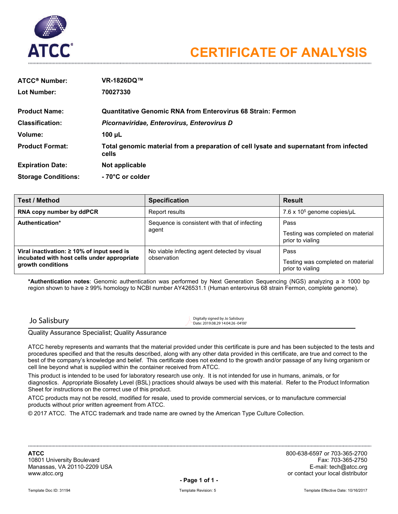

| <b>ATCC<sup>®</sup> Number:</b> | VR-1826DQ™                                                                                      |
|---------------------------------|-------------------------------------------------------------------------------------------------|
| <b>Lot Number:</b>              | 70027330                                                                                        |
| <b>Product Name:</b>            | <b>Quantitative Genomic RNA from Enterovirus 68 Strain: Fermon</b>                              |
| <b>Classification:</b>          | Picornaviridae, Enterovirus, Enterovirus D                                                      |
| Volume:                         | 100 $\mu$ L                                                                                     |
| <b>Product Format:</b>          | Total genomic material from a preparation of cell lysate and supernatant from infected<br>cells |
| <b>Expiration Date:</b>         | Not applicable                                                                                  |
| <b>Storage Conditions:</b>      | - 70°C or colder                                                                                |

| <b>Test / Method</b>                                             | <b>Specification</b>                                        | <b>Result</b>                                         |
|------------------------------------------------------------------|-------------------------------------------------------------|-------------------------------------------------------|
| RNA copy number by ddPCR                                         | Report results                                              | 7.6 x $105$ genome copies/ $\mu$ L                    |
| Authentication*                                                  | Sequence is consistent with that of infecting               | Pass                                                  |
|                                                                  | agent                                                       | Testing was completed on material<br>prior to vialing |
| Viral inactivation: $\geq 10\%$ of input seed is                 | No viable infecting agent detected by visual<br>observation | Pass                                                  |
| incubated with host cells under appropriate<br>growth conditions |                                                             | Testing was completed on material<br>prior to vialing |

**\*Authentication notes**: Genomic authentication was performed by Next Generation Sequencing (NGS) analyzing a ≥ 1000 bp region shown to have ≥ 99% homology to NCBI number AY426531.1 (Human enterovirus 68 strain Fermon, complete genome).

 $J$ o Salisbury Digitally signed by Jo Salisbury Digitally signed by Jo Salisbury Date: 2019.08.29 14:04:26 -04'00'

Quality Assurance Specialist; Quality Assurance

ATCC hereby represents and warrants that the material provided under this certificate is pure and has been subjected to the tests and procedures specified and that the results described, along with any other data provided in this certificate, are true and correct to the best of the company's knowledge and belief. This certificate does not extend to the growth and/or passage of any living organism or cell line beyond what is supplied within the container received from ATCC.

This product is intended to be used for laboratory research use only. It is not intended for use in humans, animals, or for diagnostics. Appropriate Biosafety Level (BSL) practices should always be used with this material. Refer to the Product Information Sheet for instructions on the correct use of this product.

ATCC products may not be resold, modified for resale, used to provide commercial services, or to manufacture commercial products without prior written agreement from ATCC.

© 2017 ATCC. The ATCC trademark and trade name are owned by the American Type Culture Collection.

10801 University Boulevard Fax: 703-365-2750 Manassas, VA 20110-2209 USA<br>www.atcc.org

**ATCC** 800-638-6597 or 703-365-2700 or contact your local distributor

**- Page 1 of 1 -**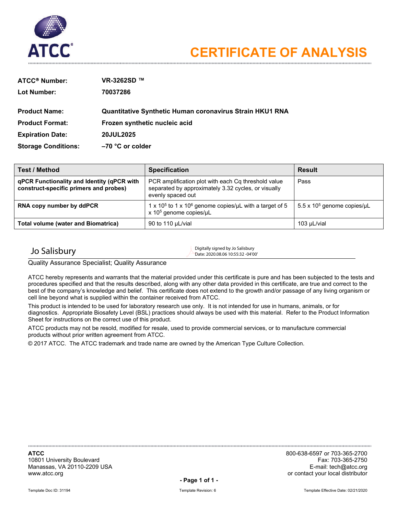

| <b>ATCC<sup>®</sup> Number:</b> | VR-3262SD ™                                              |
|---------------------------------|----------------------------------------------------------|
| <b>Lot Number:</b>              | 70037286                                                 |
|                                 |                                                          |
| <b>Product Name:</b>            | Quantitative Synthetic Human coronavirus Strain HKU1 RNA |
| <b>Product Format:</b>          | Frozen synthetic nucleic acid                            |
| <b>Expiration Date:</b>         | 20JUL2025                                                |
| <b>Storage Conditions:</b>      | $-70$ °C or colder                                       |

| <b>Test / Method</b>                                                                 | <b>Specification</b>                                                                                                            | <b>Result</b>                      |
|--------------------------------------------------------------------------------------|---------------------------------------------------------------------------------------------------------------------------------|------------------------------------|
| qPCR Functionality and Identity (qPCR with<br>construct-specific primers and probes) | PCR amplification plot with each Cq threshold value<br>separated by approximately 3.32 cycles, or visually<br>evenly spaced out | Pass                               |
| RNA copy number by ddPCR                                                             | 1 x 10 <sup>5</sup> to 1 x 10 <sup>6</sup> genome copies/uL with a target of 5<br>x 10 <sup>5</sup> genome copies/µL            | 5.5 x $105$ genome copies/ $\mu$ L |
| <b>Total volume (water and Biomatrica)</b>                                           | 90 to 110 µL/vial                                                                                                               | 103 µL/vial                        |

 $\bigcup$   $\bigcup$  Digitally signed by Jo Salisbury Digitally signed by Jo Salisbury Digitally signed by Jo Salisbury Date: 2020.08.06 10:55:32 -04'00'

Quality Assurance Specialist; Quality Assurance

ATCC hereby represents and warrants that the material provided under this certificate is pure and has been subjected to the tests and procedures specified and that the results described, along with any other data provided in this certificate, are true and correct to the best of the company's knowledge and belief. This certificate does not extend to the growth and/or passage of any living organism or cell line beyond what is supplied within the container received from ATCC.

This product is intended to be used for laboratory research use only. It is not intended for use in humans, animals, or for diagnostics. Appropriate Biosafety Level (BSL) practices should always be used with this material. Refer to the Product Information Sheet for instructions on the correct use of this product.

ATCC products may not be resold, modified for resale, used to provide commercial services, or to manufacture commercial products without prior written agreement from ATCC.

© 2017 ATCC. The ATCC trademark and trade name are owned by the American Type Culture Collection.

10801 University Boulevard Fax: 703-365-2750 Manassas, VA 20110-2209 USA<br>www.atcc.org

**ATCC** 800-638-6597 or 703-365-2700 or contact your local distributor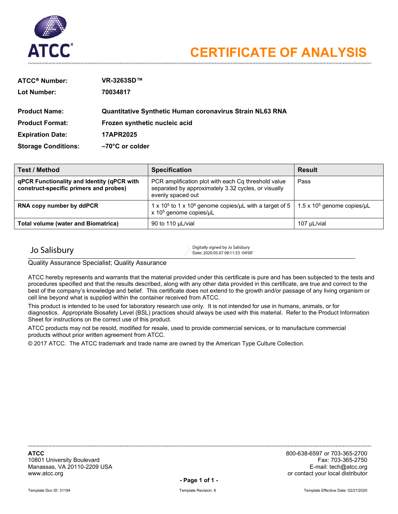

| <b>ATCC® Number:</b>       | VR-3263SD™                                                      |
|----------------------------|-----------------------------------------------------------------|
| <b>Lot Number:</b>         | 70034817                                                        |
|                            |                                                                 |
| <b>Product Name:</b>       | <b>Quantitative Synthetic Human coronavirus Strain NL63 RNA</b> |
| <b>Product Format:</b>     | Frozen synthetic nucleic acid                                   |
| <b>Expiration Date:</b>    | <b>17APR2025</b>                                                |
| <b>Storage Conditions:</b> | $-70^{\circ}$ C or colder                                       |

| <b>Test / Method</b>                                                                 | <b>Specification</b>                                                                                                                                                  | <b>Result</b> |
|--------------------------------------------------------------------------------------|-----------------------------------------------------------------------------------------------------------------------------------------------------------------------|---------------|
| qPCR Functionality and Identity (qPCR with<br>construct-specific primers and probes) | PCR amplification plot with each Cq threshold value<br>separated by approximately 3.32 cycles, or visually<br>evenly spaced out                                       | Pass          |
| RNA copy number by ddPCR                                                             | 1 x 10 <sup>5</sup> to 1 x 10 <sup>6</sup> genome copies/µL with a target of 5   1.5 x 10 <sup>5</sup> genome copies/µL<br>$x$ 10 <sup>5</sup> genome copies/ $\mu$ L |               |
| <b>Total volume (water and Biomatrica)</b>                                           | 90 to 110 µL/vial                                                                                                                                                     | 107 µL/vial   |

 $\sum_{\text{Digitally signed by Jo Salisbury}}$ Date: 2020.05.07 08:11:33 -04'00'

Quality Assurance Specialist; Quality Assurance

ATCC hereby represents and warrants that the material provided under this certificate is pure and has been subjected to the tests and procedures specified and that the results described, along with any other data provided in this certificate, are true and correct to the best of the company's knowledge and belief. This certificate does not extend to the growth and/or passage of any living organism or cell line beyond what is supplied within the container received from ATCC.

This product is intended to be used for laboratory research use only. It is not intended for use in humans, animals, or for diagnostics. Appropriate Biosafety Level (BSL) practices should always be used with this material. Refer to the Product Information Sheet for instructions on the correct use of this product.

ATCC products may not be resold, modified for resale, used to provide commercial services, or to manufacture commercial products without prior written agreement from ATCC.

© 2017 ATCC. The ATCC trademark and trade name are owned by the American Type Culture Collection.

10801 University Boulevard Fax: 703-365-2750 Manassas, VA 20110-2209 USA<br>www.atcc.org

**ATCC** 800-638-6597 or 703-365-2700 or contact your local distributor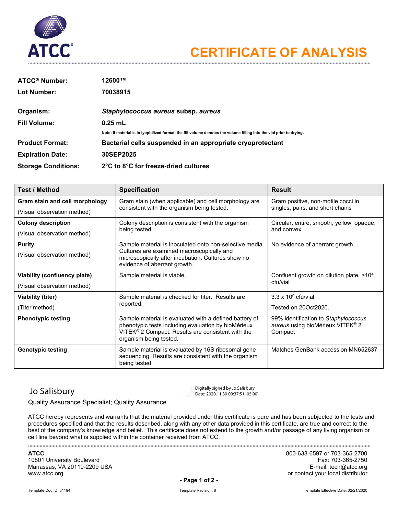

| <b>ATCC<sup>®</sup> Number:</b> | 12600™                                                                                                                |
|---------------------------------|-----------------------------------------------------------------------------------------------------------------------|
| Lot Number:                     | 70038915                                                                                                              |
| Organism:                       | Staphylococcus aureus subsp. aureus                                                                                   |
| <b>Fill Volume:</b>             | $0.25$ mL                                                                                                             |
|                                 | Note: If material is in Iyophilized format, the fill volume denotes the volume filling into the vial prior to drying. |
| <b>Product Format:</b>          | Bacterial cells suspended in an appropriate cryoprotectant                                                            |
| <b>Expiration Date:</b>         | 30SEP2025                                                                                                             |
| <b>Storage Conditions:</b>      | 2°C to 8°C for freeze-dried cultures                                                                                  |

| <b>Test / Method</b>           | <b>Specification</b>                                                                                                                                                                         | <b>Result</b>                                                                                   |  |
|--------------------------------|----------------------------------------------------------------------------------------------------------------------------------------------------------------------------------------------|-------------------------------------------------------------------------------------------------|--|
| Gram stain and cell morphology | Gram stain (when applicable) and cell morphology are                                                                                                                                         | Gram positive, non-motile cocci in<br>singles, pairs, and short chains                          |  |
| (Visual observation method)    | consistent with the organism being tested.                                                                                                                                                   |                                                                                                 |  |
| <b>Colony description</b>      | Colony description is consistent with the organism                                                                                                                                           | Circular, entire, smooth, yellow, opaque,                                                       |  |
| (Visual observation method)    | being tested.                                                                                                                                                                                | and convex                                                                                      |  |
| <b>Purity</b>                  | Sample material is inoculated onto non-selective media.                                                                                                                                      | No evidence of aberrant growth                                                                  |  |
| (Visual observation method)    | Cultures are examined macroscopically and<br>microscopically after incubation. Cultures show no<br>evidence of aberrant growth.                                                              |                                                                                                 |  |
| Viability (confluency plate)   | Sample material is viable.                                                                                                                                                                   | Confluent growth on dilution plate, >10 <sup>4</sup>                                            |  |
| (Visual observation method)    |                                                                                                                                                                                              | cfu/vial                                                                                        |  |
| Viability (titer)              | Sample material is checked for titer. Results are                                                                                                                                            | $3.3 \times 10^9$ cfu/vial:                                                                     |  |
| (Titer method)                 | reported.                                                                                                                                                                                    | Tested on 20Oct2020.                                                                            |  |
| <b>Phenotypic testing</b>      | Sample material is evaluated with a defined battery of<br>phenotypic tests including evaluation by bioMérieux<br>VITEK® 2 Compact. Results are consistent with the<br>organism being tested. | 99% identification to Staphylococcus<br>aureus using bioMérieux VITEK <sup>®</sup> 2<br>Compact |  |
| <b>Genotypic testing</b>       | Sample material is evaluated by 16S ribosomal gene<br>sequencing. Results are consistent with the organism<br>being tested.                                                                  | Matches GenBank accession MN652637                                                              |  |

 $\sum_{\text{Data: 2020.11.30 99:37:51 - 0570}}$ Date: 2020.11.30 09:37:51 -05'00'

Quality Assurance Specialist; Quality Assurance

ATCC hereby represents and warrants that the material provided under this certificate is pure and has been subjected to the tests and procedures specified and that the results described, along with any other data provided in this certificate, are true and correct to the best of the company's knowledge and belief. This certificate does not extend to the growth and/or passage of any living organism or cell line beyond what is supplied within the container received from ATCC.

10801 University Boulevard Fax: 703-365-2750 Manassas, VA 20110-2209 USA<br>www.atcc.org

**ATCC** 800-638-6597 or 703-365-2700 or contact your local distributor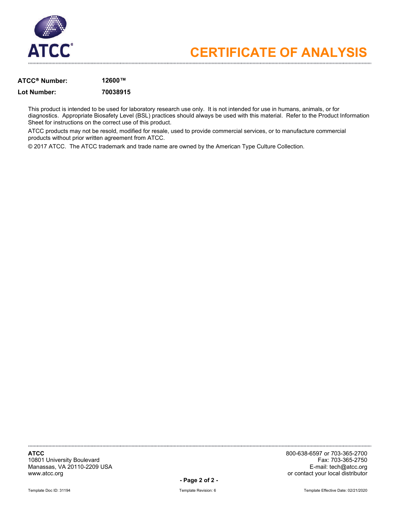

### **ATCC Number: 12600™**

### **Lot Number: 70038915**

This product is intended to be used for laboratory research use only. It is not intended for use in humans, animals, or for diagnostics. Appropriate Biosafety Level (BSL) practices should always be used with this material. Refer to the Product Information Sheet for instructions on the correct use of this product.

ATCC products may not be resold, modified for resale, used to provide commercial services, or to manufacture commercial products without prior written agreement from ATCC.

© 2017 ATCC. The ATCC trademark and trade name are owned by the American Type Culture Collection.

10801 University Boulevard Fax: 703-365-2750 Manassas, VA 20110-2209 USA<br>www.atcc.org

**ATCC** 800-638-6597 or 703-365-2700 or contact your local distributor

**- Page 2 of 2 -**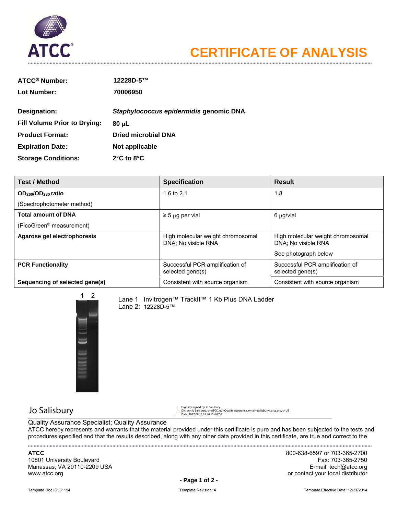

| <b>ATCC<sup>®</sup> Number:</b>     | 12228D-5™                              |
|-------------------------------------|----------------------------------------|
| Lot Number:                         | 70006950                               |
| Designation:                        | Staphylococcus epidermidis genomic DNA |
| <b>Fill Volume Prior to Drying:</b> | 80 µL                                  |
| <b>Product Format:</b>              | Dried microbial DNA                    |
| <b>Expiration Date:</b>             | Not applicable                         |
| <b>Storage Conditions:</b>          | $2^{\circ}$ C to $8^{\circ}$ C         |

| <b>Test / Method</b>                       | <b>Specification</b>                                     | <b>Result</b>                                            |
|--------------------------------------------|----------------------------------------------------------|----------------------------------------------------------|
| OD <sub>260</sub> /OD <sub>280</sub> ratio | 1.6 to 2.1                                               | 1.8                                                      |
| (Spectrophotometer method)                 |                                                          |                                                          |
| <b>Total amount of DNA</b>                 | $\geq$ 5 µg per vial                                     | 6 µg/vial                                                |
| (PicoGreen <sup>®</sup> measurement)       |                                                          |                                                          |
| Agarose gel electrophoresis                | High molecular weight chromosomal<br>DNA: No visible RNA | High molecular weight chromosomal<br>DNA: No visible RNA |
|                                            |                                                          | See photograph below                                     |
| <b>PCR Functionality</b>                   | Successful PCR amplification of<br>selected gene(s)      | Successful PCR amplification of<br>selected gene(s)      |
| Sequencing of selected gene(s)             | Consistent with source organism                          | Consistent with source organism                          |



Lane 1 Invitrogen™ TrackIt™ 1 Kb Plus DNA Ladder Lane 2: 12228D-5™

 Jo Salisbury Digitally signed by Jo Salisbury DN: cn=Jo Salisbury, o=ATCC, ou=Quality Assurance, email=jsalisbury@atcc.org, c=US Date: 2017.09.13 14:40:12 -04'00'

Quality Assurance Specialist; Quality Assurance

ATCC hereby represents and warrants that the material provided under this certificate is pure and has been subjected to the tests and procedures specified and that the results described, along with any other data provided in this certificate, are true and correct to the 

10801 University Boulevard Manassas, VA 20110-2209 USA E-mail: tech@atcc.org www.atcc.org **or contact your local distributor or contact your local distributor** 

**ATCC** 800-638-6597 or 703-365-2700

**- Page 1 of 2 -**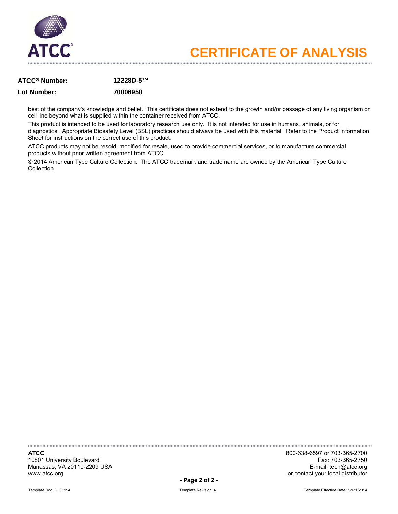

### **ATCC Number: 12228D-5™**

### **Lot Number: 70006950**

best of the company's knowledge and belief. This certificate does not extend to the growth and/or passage of any living organism or cell line beyond what is supplied within the container received from ATCC.

This product is intended to be used for laboratory research use only. It is not intended for use in humans, animals, or for diagnostics. Appropriate Biosafety Level (BSL) practices should always be used with this material. Refer to the Product Information Sheet for instructions on the correct use of this product.

ATCC products may not be resold, modified for resale, used to provide commercial services, or to manufacture commercial products without prior written agreement from ATCC.

© 2014 American Type Culture Collection. The ATCC trademark and trade name are owned by the American Type Culture Collection.

10801 University Boulevard Manassas, VA 20110-2209 USA E-mail: tech@atcc.org www.atcc.org **or contact your local distributor**  $\sim$ 

**ATCC** 800-638-6597 or 703-365-2700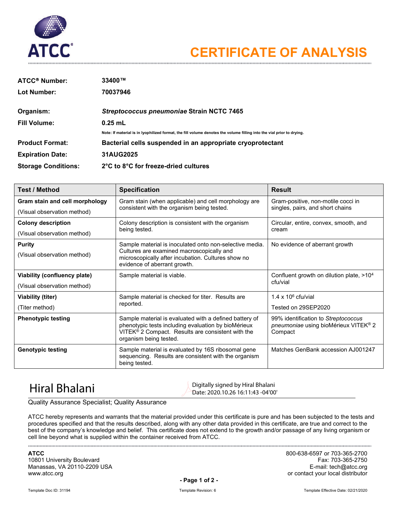

| <b>ATCC<sup>®</sup> Number:</b> | 33400™                                                                                                                |
|---------------------------------|-----------------------------------------------------------------------------------------------------------------------|
| Lot Number:                     | 70037946                                                                                                              |
| Organism:                       | Streptococcus pneumoniae Strain NCTC 7465                                                                             |
| <b>Fill Volume:</b>             | $0.25$ mL                                                                                                             |
|                                 | Note: If material is in Iyophilized format, the fill volume denotes the volume filling into the vial prior to drying. |
| <b>Product Format:</b>          | Bacterial cells suspended in an appropriate cryoprotectant                                                            |
| <b>Expiration Date:</b>         | 31AUG2025                                                                                                             |
| <b>Storage Conditions:</b>      | 2°C to 8°C for freeze-dried cultures                                                                                  |

| <b>Test / Method</b>           | <b>Specification</b>                                                                                                                                                                                     | <b>Result</b>                                                                                      |  |
|--------------------------------|----------------------------------------------------------------------------------------------------------------------------------------------------------------------------------------------------------|----------------------------------------------------------------------------------------------------|--|
| Gram stain and cell morphology | Gram stain (when applicable) and cell morphology are                                                                                                                                                     | Gram-positive, non-motile cocci in<br>singles, pairs, and short chains                             |  |
| (Visual observation method)    | consistent with the organism being tested.                                                                                                                                                               |                                                                                                    |  |
| <b>Colony description</b>      | Colony description is consistent with the organism                                                                                                                                                       | Circular, entire, convex, smooth, and                                                              |  |
| (Visual observation method)    | being tested.                                                                                                                                                                                            | cream                                                                                              |  |
| <b>Purity</b>                  | Sample material is inoculated onto non-selective media.                                                                                                                                                  | No evidence of aberrant growth                                                                     |  |
| (Visual observation method)    | Cultures are examined macroscopically and<br>microscopically after incubation. Cultures show no<br>evidence of aberrant growth.                                                                          |                                                                                                    |  |
| Viability (confluency plate)   | Sample material is viable.                                                                                                                                                                               | Confluent growth on dilution plate, >10 <sup>4</sup>                                               |  |
| (Visual observation method)    |                                                                                                                                                                                                          | cfu/vial                                                                                           |  |
| Viability (titer)              | Sample material is checked for titer. Results are                                                                                                                                                        | $1.4 \times 10^6$ cfu/vial                                                                         |  |
| (Titer method)                 | reported.                                                                                                                                                                                                | Tested on 29SEP2020                                                                                |  |
| <b>Phenotypic testing</b>      | Sample material is evaluated with a defined battery of<br>phenotypic tests including evaluation by bioMérieux<br>VITEK <sup>®</sup> 2 Compact. Results are consistent with the<br>organism being tested. | 99% identification to Streptococcus<br>pneumoniae using bioMérieux VITEK <sup>®</sup> 2<br>Compact |  |
| <b>Genotypic testing</b>       | Sample material is evaluated by 16S ribosomal gene<br>sequencing. Results are consistent with the organism<br>being tested.                                                                              | Matches GenBank accession AJ001247                                                                 |  |

 $\text{Hiral Bhalani}$  Digitally signed by Hiral Bhalani Date: 2020.10.26 16:11:43 -04'00'

Quality Assurance Specialist; Quality Assurance

ATCC hereby represents and warrants that the material provided under this certificate is pure and has been subjected to the tests and procedures specified and that the results described, along with any other data provided in this certificate, are true and correct to the best of the company's knowledge and belief. This certificate does not extend to the growth and/or passage of any living organism or cell line beyond what is supplied within the container received from ATCC.

10801 University Boulevard Fax: 703-365-2750 Manassas, VA 20110-2209 USA<br>www.atcc.org

**ATCC** 800-638-6597 or 703-365-2700 or contact your local distributor

**- Page 1 of 2 -**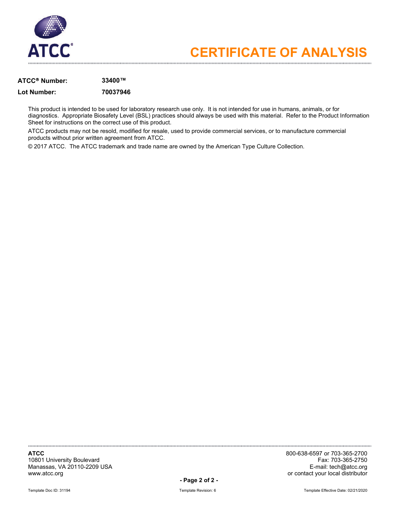

### **ATCC Number: 33400™**

### **Lot Number: 70037946**

This product is intended to be used for laboratory research use only. It is not intended for use in humans, animals, or for diagnostics. Appropriate Biosafety Level (BSL) practices should always be used with this material. Refer to the Product Information Sheet for instructions on the correct use of this product.

ATCC products may not be resold, modified for resale, used to provide commercial services, or to manufacture commercial products without prior written agreement from ATCC.

© 2017 ATCC. The ATCC trademark and trade name are owned by the American Type Culture Collection.

10801 University Boulevard Fax: 703-365-2750 Manassas, VA 20110-2209 USA<br>www.atcc.org

**ATCC** 800-638-6597 or 703-365-2700 or contact your local distributor

**- Page 2 of 2 -**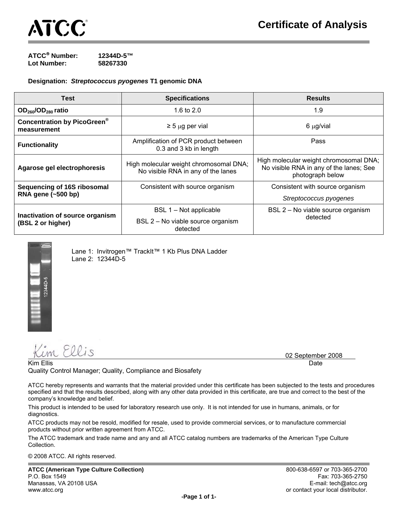

**ATCC**® **Number: 12344D-5™ Lot Number: 58267330** 

**Designation:** *Streptococcus pyogenes* **T1 genomic DNA** 

| <b>Test</b>                                          | <b>Specifications</b>                                                        | <b>Results</b>                                                                                        |
|------------------------------------------------------|------------------------------------------------------------------------------|-------------------------------------------------------------------------------------------------------|
| $OD260/OD280$ ratio                                  | 1.6 to $2.0$                                                                 | 1.9                                                                                                   |
| <b>Concentration by PicoGreen®</b><br>measurement    | $\geq$ 5 µg per vial                                                         | $6 \mu g$ /vial                                                                                       |
| <b>Functionality</b>                                 | Amplification of PCR product between<br>0.3 and 3 kb in length               | <b>Pass</b>                                                                                           |
| Agarose gel electrophoresis                          | High molecular weight chromosomal DNA;<br>No visible RNA in any of the lanes | High molecular weight chromosomal DNA;<br>No visible RNA in any of the lanes; See<br>photograph below |
| Sequencing of 16S ribosomal                          | Consistent with source organism                                              | Consistent with source organism                                                                       |
| RNA gene (~500 bp)                                   |                                                                              | Streptococcus pyogenes                                                                                |
| Inactivation of source organism<br>(BSL 2 or higher) | BSL 1 – Not applicable                                                       | BSL 2 - No viable source organism                                                                     |
|                                                      | BSL 2 - No viable source organism<br>detected                                | detected                                                                                              |



Lane 1: Invitrogen™ TrackIt™ 1 Kb Plus DNA Ladder Lane 2: 12344D-5

Kim Ellis

02 September 2008

Kim Ellis Date Date of the Control of the Control of the Control of the Control of the Date Date Date of the D Quality Control Manager; Quality, Compliance and Biosafety

ATCC hereby represents and warrants that the material provided under this certificate has been subjected to the tests and procedures specified and that the results described, along with any other data provided in this certificate, are true and correct to the best of the company's knowledge and belief.

This product is intended to be used for laboratory research use only. It is not intended for use in humans, animals, or for diagnostics.

ATCC products may not be resold, modified for resale, used to provide commercial services, or to manufacture commercial products without prior written agreement from ATCC.

The ATCC trademark and trade name and any and all ATCC catalog numbers are trademarks of the American Type Culture Collection.

© 2008 ATCC. All rights reserved.

**ATCC (American Type Culture Collection)** 800-638-6597 or 703-365-2700 P.O. Box 1549 Fax: 703-365-2750 Manassas, VA 20108 USA E-mail: tech@atcc.org in the state of the state of the state of the state of the state of the state of the state of the state of the state of the state of the state of the state of the state of the s www.atcc.org contact your local distributor.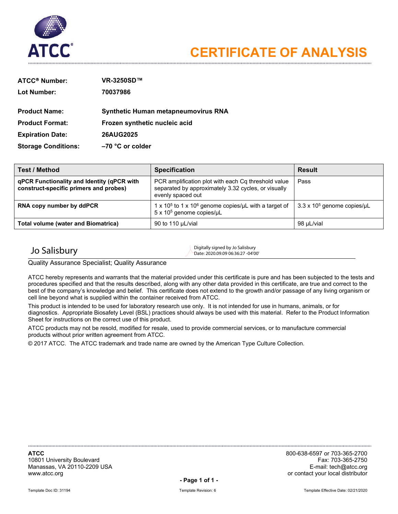

| <b>ATCC® Number:</b>       | VR-3250SD™                                 |
|----------------------------|--------------------------------------------|
| Lot Number:                | 70037986                                   |
|                            |                                            |
| <b>Product Name:</b>       | <b>Synthetic Human metapneumovirus RNA</b> |
| <b>Product Format:</b>     | Frozen synthetic nucleic acid              |
| <b>Expiration Date:</b>    | <b>26AUG2025</b>                           |
| <b>Storage Conditions:</b> | $-70$ °C or colder                         |

| <b>Test / Method</b>                                                                 | <b>Specification</b>                                                                                                            | <b>Result</b>                      |
|--------------------------------------------------------------------------------------|---------------------------------------------------------------------------------------------------------------------------------|------------------------------------|
| qPCR Functionality and Identity (qPCR with<br>construct-specific primers and probes) | PCR amplification plot with each Cq threshold value<br>separated by approximately 3.32 cycles, or visually<br>evenly spaced out | Pass                               |
| RNA copy number by ddPCR                                                             | 1 x 10 <sup>5</sup> to 1 x 10 <sup>6</sup> genome copies/uL with a target of<br>5 x 10 <sup>5</sup> genome copies/uL            | $3.3 \times 10^5$ genome copies/µL |
| <b>Total volume (water and Biomatrica)</b>                                           | 90 to 110 µL/vial                                                                                                               | 98 uL/vial                         |

 $J$ o Salisbury Digitally signed by Jo Salisbury Digitally signed by Jo Salisbury Date: 2020.09.09 06:36:27 -04'00'

Quality Assurance Specialist; Quality Assurance

ATCC hereby represents and warrants that the material provided under this certificate is pure and has been subjected to the tests and procedures specified and that the results described, along with any other data provided in this certificate, are true and correct to the best of the company's knowledge and belief. This certificate does not extend to the growth and/or passage of any living organism or cell line beyond what is supplied within the container received from ATCC.

This product is intended to be used for laboratory research use only. It is not intended for use in humans, animals, or for diagnostics. Appropriate Biosafety Level (BSL) practices should always be used with this material. Refer to the Product Information Sheet for instructions on the correct use of this product.

ATCC products may not be resold, modified for resale, used to provide commercial services, or to manufacture commercial products without prior written agreement from ATCC.

© 2017 ATCC. The ATCC trademark and trade name are owned by the American Type Culture Collection.

10801 University Boulevard Fax: 703-365-2750 Manassas, VA 20110-2209 USA<br>www.atcc.org

**ATCC** 800-638-6597 or 703-365-2700 or contact your local distributor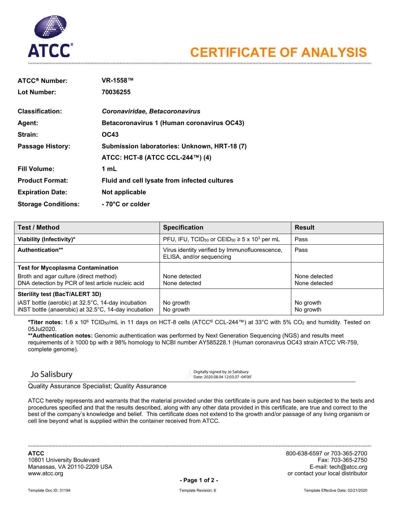

| ATCC <sup>®</sup> Number:  | VR-1558™                                     |
|----------------------------|----------------------------------------------|
| <b>Lot Number:</b>         | 70036255                                     |
|                            |                                              |
| <b>Classification:</b>     | Coronaviridae, Betacoronavirus               |
| Agent:                     | Betacoronavirus 1 (Human coronavirus OC43)   |
| Strain:                    | OC43                                         |
| <b>Passage History:</b>    | Submission laboratories: Unknown, HRT-18 (7) |
|                            | ATCC: HCT-8 (ATCC CCL-244™) (4)              |
| <b>Fill Volume:</b>        | 1 mL                                         |
| <b>Product Format:</b>     | Fluid and cell lysate from infected cultures |
| <b>Expiration Date:</b>    | Not applicable                               |
| <b>Storage Conditions:</b> | - 70°C or colder                             |

| <b>Test / Method</b>                                                                                       | <b>Specification</b>                                                                 | <b>Result</b>                  |
|------------------------------------------------------------------------------------------------------------|--------------------------------------------------------------------------------------|--------------------------------|
| Viability (Infectivity)*                                                                                   | PFU, IFU, TCID <sub>50</sub> or CEID <sub>50</sub> $\geq$ 5 x 10 <sup>3</sup> per mL | Pass                           |
| <b>Authentication**</b>                                                                                    | Virus identity verified by Immunofluorescence,<br>ELISA, and/or sequencing           | Pass                           |
| <b>Test for Mycoplasma Contamination</b>                                                                   |                                                                                      |                                |
| Broth and agar culture (direct method)<br>DNA detection by PCR of test article nucleic acid                | None detected<br>None detected                                                       | None detected<br>None detected |
| Sterility test (BacT/ALERT 3D)                                                                             |                                                                                      |                                |
| iAST bottle (aerobic) at 32.5°C, 14-day incubation<br>iNST bottle (anaerobic) at 32.5°C, 14-day incubation | No growth<br>No growth                                                               | No growth<br>No growth         |

**\*Titer notes:** 1.6 x 106 TCID50/mL in 11 days on HCT-8 cells (ATCC® CCL-244™) at 33°C with 5% CO2 and humidity. Tested on 05Jul2020.

**\*\*Authentication notes:** Genomic authentication was performed by Next Generation Sequencing (NGS) and results meet requirements of ≥ 1000 bp with ≥ 98% homology to NCBI number AY585228.1 (Human coronavirus OC43 strain ATCC VR-759, complete genome).

 $\sum_{\text{Digitally signed by Jo Salisbury}}$ Date: 2020.08.04 12:03:37 -04'00'

Quality Assurance Specialist; Quality Assurance

ATCC hereby represents and warrants that the material provided under this certificate is pure and has been subjected to the tests and procedures specified and that the results described, along with any other data provided in this certificate, are true and correct to the best of the company's knowledge and belief. This certificate does not extend to the growth and/or passage of any living organism or cell line beyond what is supplied within the container received from ATCC.

10801 University Boulevard و 10801 University Boulevard بين المستخدم المستخدم المستخدم المستخدم المستخدم المستخ<br>Manassas, VA 20110-2209 USA Manassas, VA 20110-2209 USA<br>www.atcc.org

**ATCC** 800-638-6597 or 703-365-2700 or contact your local distributor